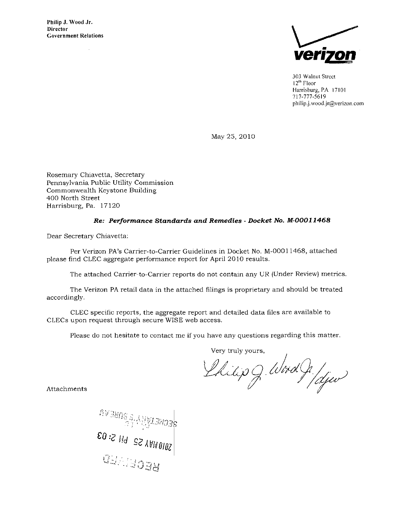Philip J. Wood Jr. Director Government Relations

 $\bar{a}$ 



303 Walnut Street l 2<sup>th</sup> Floor Harrisburg, PA 17101 717-777-5619 [philip.j.wood.jr@verizon.com](mailto:philip.j.wood.jr@verizon.com) 

May 25, 2010

Rosemary Chiavetta, Secretary Pennsylvania Public Utility Commission Commonwealth Keystone Building 400 North Street Harrisburg, Pa. 17120

## Re: Performance Standards and Remedies - Docket No. M-00011468

Dear Secretary Chiavetta:

Per Verizon PA's Carrier-to-Carrier Guidelines in Docket No. M-00011468, attached please find CLEC aggregate performance report for April 2010 results.

The attached Carrier-to-Carrier reports do not contain any UR (Under Review) metrics.

The Verizon PA retail data in the attached filings is proprietary and should be treated accordingly.

CLEC specific reports, the aggregate report and detailed data files are available to CLECs upon request through secure WISE web access.

Please do not hesitate to contact me if you have any questions regarding this matter.

Very truly yours,

Attachments

SECKETÁLLAS PINSERAL **QEANS SER**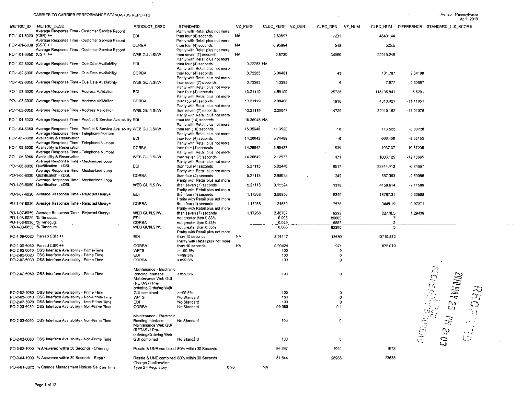$\sim$ 

-Verizon Pennsylvania April, 2010

 $\omega$  .  $\omega$ 

 $\sim 10^{-1}$ 

 $\bar{z}$ 

 $\sim$ 

 $\Delta \phi$ 

 $\mathcal{L}(\mathbf{q})$  and  $\mathcal{L}(\mathbf{q})$  and  $\mathcal{L}(\mathbf{q})$  and  $\mathcal{L}(\mathbf{q})$ 

| METRIC ID               | METRIC DESC                                                                         | PRODUCT DESC                                  | STANDARD                                                   |      | VZ PERF     | CLEC_PERF VZ_DEN |                  |    | CLEC DEN      | VZ_NUM | CLEC NUM      |             | DIFFERENCE STANDARD I Z SCORE                                                                                                               |
|-------------------------|-------------------------------------------------------------------------------------|-----------------------------------------------|------------------------------------------------------------|------|-------------|------------------|------------------|----|---------------|--------|---------------|-------------|---------------------------------------------------------------------------------------------------------------------------------------------|
| PO-1-01-6020 (CSR) ++   | Average Response Time - Customer Service Record                                     | EDI                                           | Parity with Retail plus not more<br>than four (4) seconds  | NA   |             |                  | 2.80897          |    | 17231         |        | 48401.44      |             |                                                                                                                                             |
|                         | Average Response Time - Customer Service Record                                     |                                               | Parity with Retail plus not more                           |      |             |                  |                  |    |               |        |               |             |                                                                                                                                             |
| PO-1-01-6030 (CSR) ++   |                                                                                     | CORBA                                         | than four (4) seconds                                      | NA   |             |                  | 0.95894          |    | 548           |        | 525.5         |             |                                                                                                                                             |
|                         | Average Response Time - Customer Service Record                                     |                                               | Parity with Retail plus not more                           |      |             |                  |                  |    |               |        |               |             |                                                                                                                                             |
| PO-1-01-6050 (CSR) ++   |                                                                                     | WEB GUI/LSI/W                                 | than seven (7) seconds                                     | NA.  |             |                  | 0.6729           |    | 34060         |        | 22919.249     |             |                                                                                                                                             |
|                         |                                                                                     |                                               | Parity with Retail plus not more                           |      |             |                  |                  |    |               |        |               |             |                                                                                                                                             |
|                         | PO-1-02-6020 Average Response Time - Due Date Availability                          | EDI                                           | than four (4) seconds                                      |      | 0.72283 NA  |                  |                  |    |               |        |               |             |                                                                                                                                             |
|                         |                                                                                     |                                               | Parity with Retail plus not more                           |      |             |                  |                  |    |               |        |               |             |                                                                                                                                             |
|                         | PO-1-02-6030 Average Response Time - Due Date Availability                          | CORBA                                         | than four (4) seconds                                      |      | 0.72283     |                  | 3.06481          |    | 43            |        | 131.787       | 2.34198     |                                                                                                                                             |
|                         | PO-1-02-6050 Average Response Time - Due Date Availability                          | WEB GUI/LSI/W                                 | Parity with Retail plus not more                           |      | 0.72283     |                  |                  |    | 6             |        |               | 0.60667     |                                                                                                                                             |
|                         |                                                                                     |                                               | than seven (7) seconds<br>Parily with Retail plus not more |      |             |                  | 1.3295           |    |               |        | 7.977         |             |                                                                                                                                             |
|                         | PO-1-03-6020 Average Response Time - Address Validation                             | EDI                                           | than four (4) seconds                                      |      | 13.21119    |                  | 4.59109          |    | 25725         |        | 118105.841    | $-8.6201$   |                                                                                                                                             |
|                         |                                                                                     |                                               | Parity with Retail plus not more                           |      |             |                  |                  |    |               |        |               |             |                                                                                                                                             |
|                         | PO-1-03-6030 Average Response Time - Address Validation                             | <b>CORBA</b>                                  | than four (4) seconds                                      |      | 13.21119    |                  | 2.09468          |    | 1916          |        | 4013.421      | $-11.11651$ |                                                                                                                                             |
|                         |                                                                                     |                                               | Parity with Retail plus not more                           |      |             |                  |                  |    |               |        |               |             |                                                                                                                                             |
|                         | PO-1-03-6050 Average Response Time - Address Validation                             | WEB GUILSI/W                                  | than seven (7) seconds                                     |      | 13.21119    |                  | 2.20043          |    | 14729         |        | 32410.162     | -11.01076   |                                                                                                                                             |
|                         |                                                                                     |                                               | Parity with Retail plus not more                           |      |             |                  |                  |    |               |        |               |             |                                                                                                                                             |
|                         | PO-1-04-6020 Average Response Time - Product & Service Availability EDI             |                                               | than ten (10) seconds                                      |      | 16.35948 NA |                  |                  |    |               |        |               |             |                                                                                                                                             |
|                         |                                                                                     |                                               | Parity with Retail plus not more                           |      |             |                  |                  |    |               |        |               |             |                                                                                                                                             |
|                         | PO-1-04-6050 Average Response Time - Product & Service Availability WEB GUI/LSI/W   |                                               | than ten (10) seconds                                      |      | 16.35948    |                  | 11.3522          |    | 10            |        | 113.522       | 5.00728     |                                                                                                                                             |
|                         | Average Response Time - Telephone Number                                            |                                               | Parity with Retail plus not more                           |      |             |                  |                  |    |               |        |               |             |                                                                                                                                             |
|                         | PO-1-05-6020 Availability & Reservation                                             | EDI                                           | than four (4) seconds                                      |      | 14.26642    |                  | 5.74489          |    | 116           |        | 666.408       | $-8.52153$  |                                                                                                                                             |
|                         | Average Response Time - Telephone Number<br>PO-1-05-6030 Availability & Reservation |                                               | Parity with Retail plus not more                           |      |             |                  |                  |    |               |        |               |             |                                                                                                                                             |
|                         | Average Response Time - Telephone Number                                            | CORBA                                         | than four (4) seconds<br>Parity with Retail plus not more  |      | 14.26642    |                  | 3.59437          |    | 539           |        | 1937.37       | -10.67205   |                                                                                                                                             |
|                         | PO-1-05-6050 Availability & Reservation                                             | WEB GUI/LSI/W                                 | than seven (7) seconds                                     |      | 14.26642    |                  | 2.12977          |    | 471           |        | 1003.125      | -12.13665   |                                                                                                                                             |
|                         | Average Response Time - Mechanized Loop                                             |                                               | Parity with Retail plus not more                           |      |             |                  |                  |    |               |        |               |             |                                                                                                                                             |
|                         | PO-1-06-6020 Qualification - xDSL                                                   | EDI                                           | than four (4) seconds                                      |      | 5.27113     |                  | 5.02446          |    | 6517          |        | 32744.413     | $-0.24667$  |                                                                                                                                             |
|                         | Average Response Time - Mechanized Loop                                             |                                               | Parity with Retail plus not more                           |      |             |                  |                  |    |               |        |               |             |                                                                                                                                             |
|                         | PO-1-06-6030 Qualification - xDSL                                                   | CORBA                                         | than four (4) seconds                                      |      | 5.27113     |                  | 2.68025          | -2 | 249           |        | 667.383       | $-2.59088$  |                                                                                                                                             |
|                         | Average Response Time - Mechanized Loop                                             |                                               | Parity with Retail plus not more                           |      |             |                  |                  |    |               |        |               |             |                                                                                                                                             |
|                         | PO-1-06-6050 Qualification - xDSL                                                   | WEB GUI/LSI/W                                 | than seven (7) seconds                                     |      | 5.27113     |                  | 3.15524          |    | 1318          |        | 4158.614      | -2.11589    |                                                                                                                                             |
|                         |                                                                                     |                                               | Parity with Retail plus not more                           |      |             |                  |                  |    |               |        |               |             |                                                                                                                                             |
|                         | PO-1-07-6020 Average Response Time - Rejected Query+                                | EDI.                                          | than four (4) seconds                                      |      | 1.17268     |                  | 3.50856          |    | 5349          |        | 18767.31      | 2.33588     |                                                                                                                                             |
|                         |                                                                                     |                                               | Parity with Retail plus not more                           |      |             |                  |                  |    |               |        |               |             |                                                                                                                                             |
|                         | PO-1-07-6030 Average Response Time - Rejected Query+                                | <b>CORBA</b>                                  | than four (4) seconds                                      |      | 1.17268     |                  | 1.24639          |    | 7578          |        | 9445.19       | 0.07371     |                                                                                                                                             |
|                         |                                                                                     |                                               | Parity with Retail plus not more                           |      |             |                  |                  |    |               |        |               |             |                                                                                                                                             |
| PO-1-08-6020 % Timeouts | PO-1-07-6050 Average Response Time - Rejected Query+                                | WEB GUIASIAN<br>EDI                           | than seven (7) seconds                                     |      | 1.17268     |                  | 2.46707<br>0.008 |    | 9233<br>80009 |        | 22778.5<br>-7 | 1.29439     |                                                                                                                                             |
| PO-1-08-6030 % Timeouts |                                                                                     | CORBA                                         | not greater than 0.33%<br>not greater than 0.33%           |      |             |                  | 0.029            |    | 6883          |        |               |             |                                                                                                                                             |
| PO-1-08-6050 % Timeouts |                                                                                     | WEB GUI/LSI/W                                 | not greater than 0.33%                                     |      |             |                  | 0.005            |    | 92290         |        | 5             |             |                                                                                                                                             |
|                         |                                                                                     |                                               | Parity with Retail plus not more                           |      |             |                  |                  |    |               |        |               |             |                                                                                                                                             |
|                         | PO-1-09-6020 Parsed CSR ++                                                          | EDI                                           | than 10 seconds                                            | NA   |             |                  | 2.98117          |    | 13659         |        | 40719.882     |             |                                                                                                                                             |
|                         |                                                                                     |                                               | Parity with Retail plus not more                           |      |             |                  |                  |    |               |        |               |             |                                                                                                                                             |
|                         | PO-1-09-6030 Parsed CSR ++                                                          | CORBA                                         | than 10 seconds                                            | ΝA   |             |                  | 0.90424          |    | 971           |        | 878.019       |             |                                                                                                                                             |
|                         | PO-2-02-6010 OSS Interface Availability - Prime-Time                                | <b>WPTS</b>                                   | $>= 99.5%$                                                 |      |             |                  | 100              |    | $\mathbf 0$   |        |               |             |                                                                                                                                             |
|                         | PO-2-02-6020 OSS Interface Availability - Prime Time                                | EDI                                           | $>=99.5%$                                                  |      |             |                  | 100              |    | $\Omega$      |        |               |             |                                                                                                                                             |
|                         | PO-2-02-6030 OSS Interface Availability - Prime Time                                | CORBA                                         | $>=99.5%$                                                  |      |             |                  | 100              |    | 0             |        |               |             |                                                                                                                                             |
|                         |                                                                                     |                                               |                                                            |      |             |                  |                  |    |               |        |               |             |                                                                                                                                             |
|                         | PO-2-02-6060 OSS Interface Availability - Prime Time                                | Maintenance - Electronic<br>Bonding Interface | $> = 99.5%$                                                |      |             |                  | 100              |    | 0             |        |               |             | MERNET!                                                                                                                                     |
|                         |                                                                                     | Maintenance Web GUI                           |                                                            |      |             |                  |                  |    |               |        |               |             |                                                                                                                                             |
|                         |                                                                                     | (RETAS) / Pre-                                |                                                            |      |             |                  |                  |    |               |        |               |             |                                                                                                                                             |
|                         |                                                                                     | ordering/Ordering Web                         |                                                            |      |             |                  |                  |    |               |        |               |             |                                                                                                                                             |
|                         | PO-2-02-6080 OSS Interface Availability - Prime Time                                | GUI combined                                  | $> = 99.5%$                                                |      |             |                  | 100              |    | 0             |        |               |             | <b>SOIONAY 2:</b><br>ce<br>C                                                                                                                |
|                         | PO-2-03-6010 OSS Interface Availability - Non-Prime-Time                            | <b>WPTS</b>                                   | No Standard                                                |      |             |                  | 100              |    | 0             |        |               |             |                                                                                                                                             |
|                         | PO-2-03-6020 OSS Interface Availability - Non-Prime Time                            | ED1                                           | No Standard                                                |      |             |                  | 100              |    | 0             |        |               |             |                                                                                                                                             |
|                         | PO-2-03-6030 OSS Interface Availability - Non-Prime Time                            | CORBA                                         | No Standard                                                |      |             |                  | 99.985           |    | 0.1           |        |               |             | $\frac{8}{100}$<br>Cry                                                                                                                      |
|                         |                                                                                     |                                               |                                                            |      |             |                  |                  |    |               |        |               |             |                                                                                                                                             |
|                         |                                                                                     | Maintenance - Electronic                      |                                                            |      |             |                  |                  |    |               |        |               |             |                                                                                                                                             |
|                         | PO-2-03-6060 OSS Interface Availability - Non-Prime Time                            | Bonding Interface                             | No Standard                                                |      |             |                  | 100              |    | 0             |        |               |             |                                                                                                                                             |
|                         |                                                                                     | Maintenance Web GUI<br>(RETAS) / Pre-         |                                                            |      |             |                  |                  |    |               |        |               |             |                                                                                                                                             |
|                         |                                                                                     | ordering/Ordering Web                         |                                                            |      |             |                  |                  |    |               |        |               |             |                                                                                                                                             |
|                         | PO-2-03-6080 OSS Interface Availability - Non-Prime Time                            | GUI combined                                  | No Standard                                                |      |             |                  | 100              |    | O             |        |               |             | $\begin{aligned} \mathbb{C}^n_{\mathcal{H}} \mathbb{C}^n_{\mathcal{H}} \mathbb{C}^n_{\mathcal{H}} \mathbb{C}^n_{\mathcal{H}} \end{aligned}$ |
|                         |                                                                                     |                                               |                                                            |      |             |                  |                  |    |               |        |               |             |                                                                                                                                             |
|                         | PO-3-02-1000 % Answered within 30 Seconds - Ordering                                | Resale & UNE combined 80% within 30 Seconds   |                                                            |      |             |                  | 86.237           |    | 1940          |        | 1673          |             |                                                                                                                                             |
|                         |                                                                                     |                                               |                                                            |      |             |                  |                  |    |               |        |               |             |                                                                                                                                             |
|                         | PO-3-04-1000 % Answered within 30 Seconds - Repair                                  | Resale & UNE combined 80% within 30 Seconds   |                                                            |      |             |                  | 81.544           |    | 28988         |        | 23638         |             |                                                                                                                                             |
|                         |                                                                                     | Change Confirmation -                         |                                                            |      |             |                  |                  |    |               |        |               |             |                                                                                                                                             |
|                         | PO-4-01-6622 % Change Management Notices Sent on Time                               | Type 2 - Regulatory                           |                                                            | 0.95 |             | <b>NA</b>        |                  |    |               |        |               |             |                                                                                                                                             |

 $\sim 100$  km s  $^{-1}$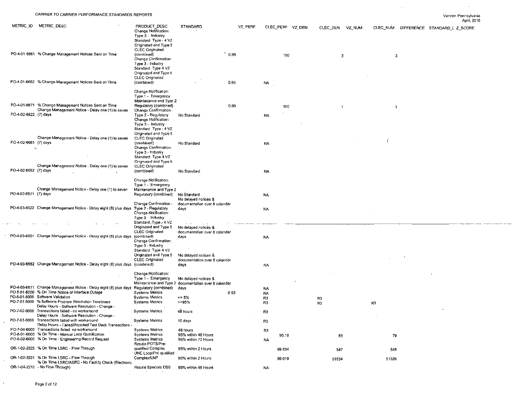$\sim 100$ 

 $\sim 10^{-1}$ 

|                       |                                                                                                        |                                                 |                                                       |         |                |                  |                |                      |        |                | уендин пенирукалка<br>April, 2010      |
|-----------------------|--------------------------------------------------------------------------------------------------------|-------------------------------------------------|-------------------------------------------------------|---------|----------------|------------------|----------------|----------------------|--------|----------------|----------------------------------------|
| METRIC ID             | METRIC DESC                                                                                            | PRODUCT DESC                                    | <b>STANDARD</b>                                       | VZ PERF |                | CLEC_PERF VZ DEN |                |                      |        |                |                                        |
|                       |                                                                                                        | Change Notification:                            |                                                       |         |                |                  |                | CLEC DEN             | VZ NUM |                | CLEC_NUM DIFFERENCE STANDARD I Z_SCORE |
|                       |                                                                                                        | Type 3 - Industry                               |                                                       |         |                |                  |                |                      |        |                |                                        |
|                       |                                                                                                        | Standard Type - 4 V2                            |                                                       |         |                |                  |                |                      |        |                |                                        |
|                       |                                                                                                        | Originated and Type 5<br><b>CLEC Originated</b> |                                                       |         |                |                  |                |                      |        |                |                                        |
|                       | PO-4-01-6661 % Change Management Notices Sent on Time                                                  | (combined)                                      |                                                       | 0.95    |                | 100              |                |                      |        |                |                                        |
|                       |                                                                                                        | Change Confirmation:                            |                                                       |         |                |                  |                | 3                    |        | 3              |                                        |
|                       |                                                                                                        | Type 3 - Industry                               |                                                       |         |                |                  |                |                      |        |                |                                        |
|                       |                                                                                                        | Standard Type 4 VZ                              |                                                       |         |                |                  |                |                      |        |                |                                        |
|                       |                                                                                                        | Originated and Type 5<br>CLEC Originated        |                                                       |         |                |                  |                |                      |        |                |                                        |
|                       | PO-4-01-6662 % Change Management Notices Sent on Time                                                  | (combined)                                      |                                                       | 0.95    | NA.            |                  |                |                      |        |                |                                        |
|                       |                                                                                                        |                                                 |                                                       |         |                |                  |                |                      |        |                |                                        |
|                       |                                                                                                        | Change Notification:                            |                                                       |         |                |                  |                |                      |        |                |                                        |
|                       |                                                                                                        | Type 1 - Emergency                              |                                                       |         |                |                  |                |                      |        |                |                                        |
|                       | PO-4-01-6671 % Change Management Notices Sent on Time                                                  | Maintenance and Type 2<br>Requlatory (combined) |                                                       | 0.95    |                | 100              |                |                      |        |                |                                        |
|                       | Change Management Notice - Delay one (1) to seven                                                      | Change Confirmation                             |                                                       |         |                |                  |                | $\ddot{\phantom{1}}$ |        | $\mathbf{1}$   |                                        |
| PO-4-02-6622 (7) days |                                                                                                        | Type 2 - Regulatory                             | No Standard                                           |         | <b>NA</b>      |                  |                |                      |        |                |                                        |
|                       |                                                                                                        | Change Notification:                            |                                                       |         |                |                  |                |                      |        |                |                                        |
|                       |                                                                                                        | Type 3 Industry<br>Standard Type - 4 VZ         |                                                       |         |                |                  |                |                      |        |                |                                        |
|                       |                                                                                                        | Originated and Type 5                           |                                                       |         |                |                  |                |                      |        |                |                                        |
|                       | Change Management Notice - Delay one (1) to seven                                                      | CLEC Originated                                 |                                                       |         |                |                  |                |                      |        |                |                                        |
| PO-4-02-6661 (7) days |                                                                                                        | (combined)                                      | No Standard                                           |         | <b>NA</b>      |                  |                |                      |        |                |                                        |
|                       |                                                                                                        | Change Confirmation:<br>Type 3 - Industry       |                                                       |         |                |                  |                |                      |        |                |                                        |
|                       |                                                                                                        | Standard Type 4 VZ                              |                                                       |         |                |                  |                |                      |        |                |                                        |
|                       |                                                                                                        | Originated and Type 5                           |                                                       |         |                |                  |                |                      |        |                |                                        |
|                       | Change Management Notice - Delay one (1) to seven                                                      | CLEC Originated                                 |                                                       |         |                |                  |                |                      |        |                |                                        |
| PO-4-02-6662 (7) days |                                                                                                        | (combined)                                      | No Standard                                           |         | NA.            |                  |                |                      |        |                |                                        |
|                       |                                                                                                        | Change Notification:                            |                                                       |         |                |                  |                |                      |        |                |                                        |
|                       |                                                                                                        | Type 1 - Emergency                              |                                                       |         |                |                  |                |                      |        |                |                                        |
|                       | Change Management Notice - Delay one (1) to seven                                                      | Maintenance and Type 2                          |                                                       |         |                |                  |                |                      |        |                |                                        |
| PO-4-02-6671 (7) days |                                                                                                        | Regulatory (combined)                           | No Standard                                           |         | <b>NA</b>      |                  |                |                      |        |                |                                        |
|                       |                                                                                                        | Change Confirmation                             | No delayed notices &<br>documentation over 8 calendar |         |                |                  |                |                      |        |                |                                        |
|                       | PO-4-03-6622 Change Management Notice - Delay eight (8) plus days                                      | Type 2 - Regulatory                             | days                                                  |         | <b>NA</b>      |                  |                |                      |        |                |                                        |
|                       |                                                                                                        | Change Notification:                            |                                                       |         |                |                  |                |                      |        |                |                                        |
|                       |                                                                                                        | Type 3 - Industry                               |                                                       |         |                |                  |                |                      |        |                |                                        |
|                       |                                                                                                        | Standard Type = 4 VZ<br>Originated and Type 5   |                                                       |         |                |                  |                |                      |        |                |                                        |
|                       |                                                                                                        | CLEC Originated                                 | No delayed notices &<br>documentation over 8 calendar |         |                |                  |                |                      |        |                |                                        |
|                       | PO-4-03-6661 Change Management Notice - Delay eight (8) plus days                                      | (combined)                                      | days                                                  |         | <b>NA</b>      |                  |                |                      |        |                |                                        |
|                       |                                                                                                        | Change Confirmation:                            |                                                       |         |                |                  |                |                      |        |                |                                        |
|                       |                                                                                                        | Type 3 - Industry                               |                                                       |         |                |                  |                |                      |        |                |                                        |
|                       |                                                                                                        | Standard Type 4 VZ<br>Originated and Type 5     | No delayed notices &                                  |         |                |                  |                |                      |        |                |                                        |
|                       |                                                                                                        | CLEC Originated                                 | documentation over 8 calendar                         |         |                |                  |                |                      |        |                |                                        |
|                       | PO-4-03-6662 Change Management Notice - Delay eight (8) plus days (combined)                           |                                                 | days                                                  |         | N٨             |                  |                |                      |        |                |                                        |
|                       |                                                                                                        |                                                 |                                                       |         |                |                  |                |                      |        |                |                                        |
|                       |                                                                                                        | Change Notification:<br>Type 1 Emergency        | No delayed notices &                                  |         |                |                  |                |                      |        |                |                                        |
|                       |                                                                                                        |                                                 | Maintenance and Type 2 documentation over 8 calendar  |         |                |                  |                |                      |        |                |                                        |
|                       | PO-4-03-6671 Change Management Notice - Delay eight (8) plus days                                      | Regulatory (combined)                           | days                                                  |         | <b>NA</b>      |                  |                |                      |        |                |                                        |
|                       | PO-5-01-6000 % On Time Natice of Interface Outage                                                      | <b>Systems Metrics</b>                          |                                                       | 0.95    | NA.            |                  |                |                      |        |                |                                        |
|                       | PO-6-01-6000 Software Validation                                                                       | <b>Systems Metrics</b>                          | $\leq$ 5%                                             |         | R <sub>3</sub> |                  | R3             |                      |        |                |                                        |
|                       | PO-7-01-6000 % Software Problem Resolution Timeliness<br>Delay Hours - Software Resolution - Change -  | <b>Systems Metrics</b>                          | $>=95%$                                               |         | R3             |                  | R <sub>3</sub> |                      |        | R <sub>3</sub> |                                        |
|                       | PO-7-02-6000 Transactions failed - no workaround                                                       | <b>Systems Metrics</b>                          | 48 hours                                              |         | R3             |                  |                |                      |        |                |                                        |
|                       | Delay Hours - Software Resolution - Change -                                                           |                                                 |                                                       |         |                |                  |                |                      |        |                |                                        |
|                       | PO-7-03-6000 Transactions failed with workaround                                                       | <b>Systems Metrics</b>                          | 10 days                                               |         | R3             |                  |                |                      |        |                |                                        |
|                       | Delay Hours - Failed/Rejected Test Deck Transactions<br>PO-7-04-6000 Transactions failed no workaround | <b>Systems Metrics</b>                          |                                                       |         |                |                  |                |                      |        |                |                                        |
|                       | PO-8-01-6000 % On Time - Manual Loop Qualification                                                     | <b>Systems Metrics</b>                          | 48 hours<br>95% within 48 Hours                       |         | R3             | 95.18            |                |                      |        | 79             |                                        |
|                       | PO-8-02-6000 % On Time - Engineering Record Request                                                    | <b>Systems Metrics</b>                          | 95% within 72 Hours                                   |         | <b>NA</b>      |                  |                | 83                   |        |                |                                        |
|                       |                                                                                                        | Resale POTS/Pre-                                |                                                       |         |                |                  |                |                      |        |                |                                        |
|                       | OR-1-02-2320 % On Time LSRC - Flow Through                                                             | qualified Complex                               | 95% within 2 Hours                                    |         |                | 99.634           |                | 547                  |        | 545            |                                        |
|                       | OR-1-02-3331 % On Time LSRC - Flow Through                                                             | UNE Loop/Pre-qualified<br>Complex/LNP           |                                                       |         |                |                  |                |                      |        |                |                                        |
|                       | % On Time LSRC/ASRC - No Facility Check (Electronic                                                    |                                                 | 95% within 2 Hours                                    |         |                | 99.019           |                | 51834                |        | 51326          |                                        |
|                       | OR-1-04-2210 - No Flow Through)                                                                        | Resale Specials DS0                             | 95% within 48 Hours                                   |         | <b>NA</b>      |                  |                |                      |        |                |                                        |
|                       |                                                                                                        |                                                 |                                                       |         |                |                  |                |                      |        |                |                                        |
|                       |                                                                                                        |                                                 |                                                       |         |                |                  |                |                      |        |                |                                        |

 $\epsilon$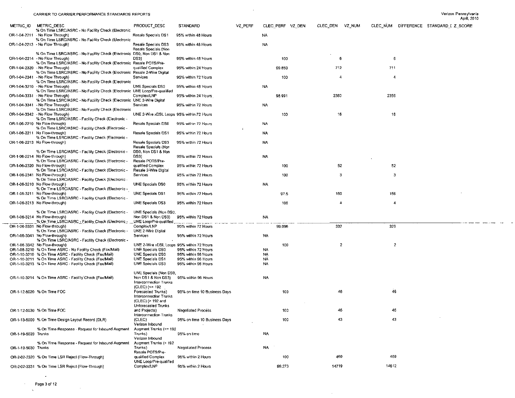$\sim$ 

|                     |                                                                                                                |                                                                    |                              |         |                  |                    |                                        | April, 2010 |
|---------------------|----------------------------------------------------------------------------------------------------------------|--------------------------------------------------------------------|------------------------------|---------|------------------|--------------------|----------------------------------------|-------------|
|                     | METRIC ID METRIC DESC                                                                                          | PRODUCT_DESC                                                       | STANDARD                     | VZ PERF | CLEC PERF VZ DEN | CLEC_DEN<br>VZ_NUM | CLEC_NUM DIFFERENCE STANDARD I Z SCORE |             |
|                     | % On Time LSRC/ASRC - No Facility Check (Electronic<br>OR-1-04-2211 No Flow Through)                           | Resale Specials DS1                                                | 95% within 48 Hours          |         | NA.              |                    |                                        |             |
|                     | % On Time LSRC/ASRC - No Facility Check (Electronic<br>OR-1-04-2213 - No Flow Through)                         | Resale Specials DS3                                                | 95% within 48 Hours          |         | <b>NA</b>        |                    |                                        |             |
|                     | % On Time LSRC/ASRC - No Facility Check (Electronic DS0, Non DS1 & Non                                         | Resale Specials (Non                                               |                              |         |                  |                    |                                        |             |
|                     | OR-1-04-2214 - No Flow Through)                                                                                | DS3)                                                               | 95% within 48 Hours          |         | 100              | 6                  | 6                                      |             |
|                     | % On Time LSRC/ASRC - No Facility Check (Electronic Resale POTS/Pre-<br>OR-1-04-2320 - No Flow Through)        | qualified Complex                                                  | 95% within 24 Hours          |         | 99.859           | 712                | 711                                    |             |
|                     | % On Time LSRC/ASRC - No Facility Check (Electronic Resale 2-Wire Digital<br>OR-1-04-2341 No Flow Through)     | Services                                                           | 95% within 72 Hours          |         | 100              | 4                  | 4                                      |             |
|                     | % On Time LSRC/ASRC - No Facility Check (Electronic<br>OR-1-04-3210 - No Flow Through)                         | <b>UNE Specials DS0</b>                                            | 95% within 48 Hours          |         | <b>NA</b>        |                    |                                        |             |
|                     | % On Time LSRC/ASRC - No Facility Check (Electronic UNE Loop/Pre-qualified<br>OR-1-04-3331 - No Flow Through)  | Complex/LNP                                                        | 95% within 24 Hours          |         | 98.991           | 2380               | 2356                                   |             |
|                     | % On Time LSRC/ASRC - No Facility Check (Electronic UNE 2-Wire Digital<br>OR-1-04-3341 - No Flow Through)      | Services                                                           |                              |         |                  |                    |                                        |             |
|                     | % On Time LSRC/ASRC - No Facility Check (Electronic                                                            |                                                                    | 95% within 72 Hours          |         | <b>NA</b>        |                    |                                        |             |
|                     | OR-1-04-3342 - No Flow Through)<br>% On Time LSRC/ASRC - Facility Check (Electronic -                          | UNE 2-Wire xDSL Loops 95% within 72 Hours                          |                              |         | 100              | 16                 | 16                                     |             |
|                     | OR-1-06-2210 No Flow-through)<br>% On Time LSRC/ASRC - Facility Check (Electronic -                            | Resale Specials DS0                                                | 95% within 72 Hours          |         | <b>NA</b>        |                    |                                        |             |
|                     | OR-1-06-2211 No Flow-through)<br>% On Time LSRC/ASRC - Facility Check (Electronic -                            | Resale Specials DS1                                                | 95% within 72 Hours          |         | <b>NA</b>        |                    |                                        |             |
|                     | OR-1-06-2213 No Flow-through)                                                                                  | Resale Specials DS3<br>Resale Specials (Non                        | 95% within 72 Hours          |         | NA               |                    |                                        |             |
|                     | % On Time LSRC/ASRC - Facility Check (Electronic -                                                             | DS0, Non DS1 & Non                                                 |                              |         |                  |                    |                                        |             |
|                     | OR-1-06-2214 No Flow-through)<br>% On Time LSRC/ASRC - Facility Check (Electronic -                            | DS3)<br>Resale POTS/Pre-                                           | 95% within 72 Hours          |         | <b>NA</b>        |                    |                                        |             |
|                     | OR-1-06-2320 No Flow-through)<br>% On Time LSRC/ASRC - Facility Check (Electronic -                            | qualified Complex<br>Resale 2-Wire Digital                         | 95% within 72 Hours          |         | 100              | 52                 | 52                                     |             |
|                     | OR-1-06-2341 No Flow-through)<br>% On Time LSRC/ASRC - Facility Check (Electronic -                            | Services                                                           | 95% within 72 Hours          |         | 100              | 3                  | 3                                      |             |
|                     | OR-1-06-3210 No Flow-through)<br>% On Time LSRC/ASRC - Facility Check (Electronic -                            | UNE Specials DS0                                                   | 95% within 72 Hours          |         | <b>NA</b>        |                    |                                        |             |
|                     | OR-1-06-3211 No Flow-through)<br>% On Time LSRC/ASRC - Facility Check (Electronic -                            | UNE Specials DS1                                                   | 95% within 72 Hours          |         | 97.5             | 160                | 156                                    |             |
|                     | OR-1-06-3213 No Flow-through)                                                                                  | <b>UNE Specials DS3</b>                                            | 95% within 72 Hours          |         | 100              | 4                  |                                        |             |
|                     | % On Time LSRC/ASRC - Facility Check (Electronic -                                                             | UNE Specials (Non DS0,                                             |                              |         |                  |                    |                                        |             |
|                     | OR-1-06-3214 No Flow-through)<br>_% On Time LSRC/ASRC - Facility Check (Electronic _ __UNE Loop/Pre-qualified, | Non DS1 & Non DS3)                                                 | 95% within 72 Hours          |         | <b>NA</b>        |                    |                                        |             |
|                     | OR-1-06-3331 No Flow-through)<br>% On Time LSRC/ASRC - Facility Check (Electronic -                            | Complex/LNP<br>UNE 2-Wire Digital                                  | 95% within 72 Hours          |         | 99.096           | 332                | 329                                    |             |
|                     | OR-1-06-3341 No Flow-through)<br>% On Time LSRC/ASRC - Facility Check (Electronic -                            | Services                                                           | 95% within 72 Hours          |         | NA               |                    |                                        |             |
|                     | OR-1-06-3342 No Flow-through)                                                                                  | UNE 2-Wire xDSL Loops 95% within 72 Hours                          |                              |         | 100              | $\mathbf{2}$       | $\overline{2}$                         |             |
|                     | OR-1-08-3210 % On Time ASRC - No Facility Check (Fax/Mail)                                                     | UNE Specials DS0                                                   | 95% within 72 Hours          |         | <b>NA</b>        |                    |                                        |             |
|                     | OR-1-10-3210 % On Time ASRC - Facility Check (Fax/Mail)                                                        | UNE Specials DS0                                                   | 95% within 96 Hours          |         | NA.              |                    |                                        |             |
|                     | OR-1-10-3211 % On Time ASRC - Facility Check (Fax/Mail)                                                        | UNE Specials DS1                                                   | 95% within 96 Hours          |         | NA.              |                    |                                        |             |
|                     | OR-1-10-3213 % On Time ASRC - Facility Check (Fax/Mail)                                                        | UNE Specials DS3                                                   | 95% within 96 Hours          |         | <b>NA</b>        |                    |                                        |             |
|                     |                                                                                                                | UNE Specials (Non DS0,                                             |                              |         |                  |                    |                                        |             |
|                     | OR-1-10-3214 % On Time ASRC - Facility Check (Fax/Mail)                                                        | Non DS1 & Non DS3)<br>Interconnection Trunks                       | 95% within 96 Hours          |         | <b>NA</b>        |                    |                                        |             |
|                     | OR-1-12-5020 % On Time FOC                                                                                     | $(CLEC)$ (<= 192<br>Forecasted Trunks)                             | 95% on time 10 Business Days |         | 100              | 46                 | 46                                     |             |
|                     |                                                                                                                | Interconnection Trunks<br>(CLEC) (> 192 and<br>Unforecasted Trunks |                              |         |                  |                    |                                        |             |
|                     | OR-1-12-5030 % On Time FOC                                                                                     | and Projects)<br>Interconnection Trunks                            | Negotiated Process           |         | 100              |                    |                                        |             |
|                     | OR-1-13-5000 % On Time Design Layout Record (DLR)                                                              | (CLEC)                                                             | 95% on time 10 Business Days |         | 100              | 43                 | 43                                     |             |
|                     | % On Time Response - Request for Inbound Augment                                                               | Verizon Inbound<br>Augment Trunks (<= 192                          |                              |         |                  |                    |                                        |             |
| OR-1-19-5020 Trunks |                                                                                                                | Trunks)<br>Verizon Inbound                                         | 95% on time                  |         | <b>NA</b>        |                    |                                        |             |
| OR-1-19-5030 Trunks | % On Time Response - Request for Inbound Augment                                                               | Augment Trunks (> 192<br>Trunks)                                   | <b>Negotiated Process</b>    |         | <b>NA</b>        |                    |                                        |             |
|                     |                                                                                                                | Resale POTS/Pre-                                                   |                              |         |                  |                    |                                        |             |
|                     | OR-2-02-2320 % On Time LSR Reject (Flow-Through)                                                               | qualified Complex<br>UNE Loop/Pre-qualified                        | 95% within 2 Hours           |         | 100              | 469                | 469                                    |             |
|                     | OR-2-02-3331 % On Time LSR Reject (Flow-Through)                                                               | Complex/LNP                                                        | 95% within 2 Hours           |         | 99.273           | 14719              | 14612                                  |             |

 $\sim 10^6$ 

 $\sim 10^7$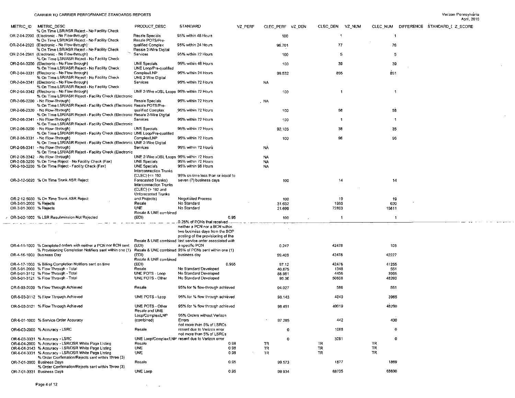|                        |                                                                                                                 |                                           |                                                          |         |                  |                    |                                        | April, 2010 |
|------------------------|-----------------------------------------------------------------------------------------------------------------|-------------------------------------------|----------------------------------------------------------|---------|------------------|--------------------|----------------------------------------|-------------|
| METRIC_ID              | METRIC DESC                                                                                                     | PRODUCT DESC                              | STANDARD                                                 | VZ PERF | CLEC_PERF VZ_DEN | CLEC DEN<br>VZ NUM | CLEC NUM DIFFERENCE STANDARD I Z SCORE |             |
|                        | % On Time LSR/ASR Reject - No Facility Check<br>OR-2-04-2200 (Electronic - No Flow-through)                     | Resale Specials                           | 95% within 48 Hours                                      |         | 100              | 1                  | -1                                     |             |
|                        | % On Time LSR/ASR Reject - No Facility Check<br>OR-2-04-2320 (Electronic - No Flow-through)                     | Resale POTS/Pre-<br>qualified Complex     | 95% within 24 Hours                                      |         | 98.701           | 77                 | 76                                     |             |
|                        | % On Time LSR/ASR Reject - No Facility Check                                                                    | Resale 2-Wire Digital                     |                                                          |         |                  |                    |                                        |             |
|                        | OR-2-04-2341 (Electronic - No Flow-through)<br>% On Time LSR/ASR Reject - No Facility Check                     | Services                                  | 95% within 72 Hours                                      |         | 100              | 5                  | 5                                      |             |
|                        | OR-2-04-3200 (Electronic - No Flow-through)<br>% On Time LSR/ASR Reject - No Facility Check                     | UNE Specials<br>UNE Loop/Pre-qualified    | 95% within 48 Hours                                      |         | 100              | 39                 | 39                                     |             |
|                        | OR-2-04-3331 (Electronic - No Flow-through)                                                                     | Complex/LNP                               | 95% within 24 Hours                                      |         | 99.532           | 855                | 851                                    |             |
|                        | % On Time LSR/ASR Reject - No Facility Check<br>OR-2-04-3341 (Electronic - No Flow-through)                     | UNE 2-Wire Digital<br><b>Services</b>     | 95% within 72 Hours                                      |         | <b>NA</b>        |                    |                                        |             |
|                        | % On Time LSR/ASR Reject - No Facility Check<br>OR-2-04-3342 (Electronic - No Flow-through)                     | UNE 2-Wire xDSL Loops 95% within 72 Hours |                                                          |         | 100              | $\mathbf{1}$       | $\overline{1}$                         |             |
|                        | % On Time LSR/ASR Reject - Facility Check (Electronic<br>OR-2-06-2200 - No Flow-Through)                        | Resale Specials                           | 95% within 72 Hours                                      |         |                  |                    |                                        |             |
|                        | % On Time LSR/ASR Reject - Facility Check (Electronic Resale POTS/Pre-                                          |                                           |                                                          |         | . NA             |                    |                                        |             |
|                        | OR-2-06-2320 - No Flow-Through)<br>% On Time LSR/ASR Reject - Facility Check (Electronic Resale 2-Wire Digital  | qualified Complex                         | 95% within 72 Hours                                      |         | 100              | 58                 | 58                                     |             |
|                        | OR-2-06-2341 - No Flow-Through)<br>% On Time LSR/ASR Reject - Facility Check (Electronic                        | Sarvices                                  | 95% within 72 Hours                                      |         | 100              | $\mathbf{1}$       | $\mathbf{1}$                           |             |
|                        | OR-2-06-3200 - No Flow-Through)                                                                                 | UNE Specials                              | 95% within 72 Hours                                      |         | 92.105           | 38                 | 35                                     |             |
|                        | % On Time LSR/ASR Reject - Facility Check (Electronic UNE Loop/Pre-qualified<br>OR-2-06-3331 - No Flow-Through) | Complex/LNP                               | 95% within 72 Hours                                      |         | 100              | 96                 | 96                                     |             |
|                        | % On Time LSR/ASR Reject - Facility Check (Electronic UNE 2-Wire Digital<br>OR-2-06-3341 - No Flow-Through)     | Services                                  | 95% within 72 Hours                                      |         | NÀ.              |                    |                                        |             |
|                        | % On Time LSR/ASR Reject - Facility Check (Electronic                                                           |                                           |                                                          |         |                  |                    |                                        |             |
|                        | OR-2-06-3342 - No Flow-Through)                                                                                 | UNE 2-Wire xDSL Loops 95% within 72 Hours |                                                          |         | <b>NA</b>        |                    |                                        |             |
|                        | OR-2-08-3200 % On Time Reject - No Facility Check (Fax)                                                         | <b>UNE Specials</b>                       | 95% within 72 Hours                                      |         | <b>NA</b>        |                    |                                        |             |
|                        | OR-2-10-3200 % On Time Reject - Facility Check (Fax)                                                            | <b>UNE Specials</b>                       | 95% within 96 Hours                                      |         | <b>NA</b>        |                    |                                        |             |
|                        |                                                                                                                 | Interconnection Trunks                    |                                                          |         |                  |                    |                                        |             |
|                        |                                                                                                                 | (CLEC) (<= 192                            | 95% on time less than or equal to                        |         |                  |                    |                                        |             |
|                        | OR-2-12-5020 % On Time Trunk ASR Reject                                                                         | Forecasted Trunks)                        | seven (7) business days                                  |         | 100              | 14                 | 14                                     |             |
|                        |                                                                                                                 | Interconnection Trunks                    |                                                          |         |                  |                    |                                        |             |
|                        |                                                                                                                 | (CLEC) (> 192 and                         |                                                          |         |                  |                    |                                        |             |
|                        |                                                                                                                 | Unforecasted Trunks                       |                                                          |         |                  |                    |                                        |             |
|                        | OR-2-12-5030 % On Time Trunk ASR Reject                                                                         | and Projects)                             | <b>Negotiated Process</b>                                |         |                  | 19                 |                                        |             |
|                        |                                                                                                                 |                                           |                                                          |         | 100              |                    | 19                                     |             |
| OR-3-01-2000 % Rejects |                                                                                                                 | Resale                                    | No Standard                                              |         | 31.632           | 1960               | 620                                    |             |
| OR-3-01-3000 % Rejects |                                                                                                                 | UNE                                       | No Standard                                              |         | 21.699           | 72863              | 15811                                  |             |
|                        |                                                                                                                 | Resale & UNE combined                     |                                                          |         |                  |                    |                                        |             |
|                        | OR-3-02-1000 % LSR Resubmission Not Rejected                                                                    | (EDI)                                     | 0.95                                                     |         | 100              | -1                 | $\overline{1}$                         |             |
|                        |                                                                                                                 |                                           |                                                          |         |                  |                    |                                        |             |
|                        |                                                                                                                 |                                           | 0.25% of PONs that received.                             |         |                  |                    |                                        |             |
|                        |                                                                                                                 |                                           |                                                          |         |                  |                    |                                        |             |
|                        |                                                                                                                 |                                           | neither a PCN nor a BCN within                           |         |                  |                    |                                        |             |
|                        |                                                                                                                 |                                           | two business days from the SOP                           |         |                  |                    |                                        |             |
|                        |                                                                                                                 |                                           | posting of the provisioning of the                       |         |                  |                    |                                        |             |
|                        |                                                                                                                 |                                           | Resale & UNE combined last service order associated with |         |                  |                    |                                        |             |
|                        | OR-4-11-1000 % Completed orders with neither a PCN nor BCN sent                                                 | (EDI)                                     | a specific PON                                           |         | 0.247            | 42478              | 105                                    |             |
|                        | % Provisioning Completion Notifiers sent within one (1) Resale & UNE combined 95% of PCNs sent within one (1)   |                                           |                                                          |         |                  |                    |                                        |             |
|                        | OR-4-16-1000 Business Day                                                                                       | (EDI)                                     | business day                                             |         | 99.409           | 42478              | 42227                                  |             |
|                        |                                                                                                                 | Resale & UNE combined                     |                                                          |         |                  |                    |                                        |             |
|                        | OR-4-17-1000 % Billing Completion Notifiers sent on time                                                        | (EDI)                                     | 0.955                                                    |         | 97.12            | 42478              | 41255                                  |             |
|                        | OR-5-01-2000 % Flow Through - Total                                                                             | Resale                                    | No Standard Developed                                    |         | 40.875           | 1348               | 551                                    |             |
|                        | OR-5-01-3112 % Flow Through - Total                                                                             | UNE POTS - Loop                           | No Standard Developed                                    |         | 88.931           | 4456               | 3965                                   |             |
|                        | OR-5-01-3121 % Flow Through - Total                                                                             | UNE POTS - Other                          | No Standard Developed                                    |         | 95.36            | 50608              | 48260                                  |             |
|                        | OR-5-03-2000 % Flow Through Achieved                                                                            | Resale                                    | 95% for % flow-through achieved                          |         | 94.027           | 586                | 551                                    |             |
|                        |                                                                                                                 |                                           |                                                          |         |                  |                    |                                        |             |
|                        | OR-5-03-3112 % Flow Through Achieved                                                                            | UNE POTS - Loop                           | 95% for % flow through achieved                          |         | 98.143           | 4040               | 3965                                   |             |
|                        | OR-5-03-3121 % Flow Through Achieved                                                                            | UNE POTS - Other                          | 95% for % flow through achieved                          |         | 98 4 51          | 49019              | 48260                                  |             |
|                        |                                                                                                                 | Resale and UNE                            |                                                          |         |                  |                    |                                        |             |
|                        |                                                                                                                 | Loop/Complex/LNP                          | 95% Orders without Verizon                               |         |                  |                    |                                        |             |
|                        | OR-6-01-1000 % Service Order Accuracy                                                                           | (combined)                                | Errors                                                   |         | 97.285           | 442                | 430                                    |             |
|                        |                                                                                                                 |                                           | not more than 5% of LSRCs                                |         |                  |                    |                                        |             |
|                        | OR-6-03-2000 % Accuracy - LSRC                                                                                  | Resale                                    | resent due to Verizon error<br>not more than 5% of LSRCs |         | 0                | 1088               | $\mathbf{0}$                           |             |
|                        | OR-6-03-3331 % Accuracy - LSRC                                                                                  |                                           | UNE Loop/Complex/LNP resent due to Verizon error         |         | $\mathbf 0$      | 3091               | 0                                      |             |
|                        |                                                                                                                 | Resale                                    |                                                          |         |                  |                    | TR                                     |             |
|                        | OR-6-04-2000 % Accuracy - LSR/DSR White Page Listing                                                            |                                           | 0.98                                                     |         | TR               | TR                 |                                        |             |
|                        | OR-6-04-3143 % Accuracy - LSR/DSR White Page Listing                                                            | <b>UNE</b>                                | 0.98                                                     |         | TR               | TR                 | TR                                     |             |
|                        | OR-6-04-3331 % Accuracy - LSR/DSR White Page Listing                                                            | <b>UNE</b>                                | 0.98                                                     |         | TR               | TR                 | TR                                     |             |
|                        | % Order Confirmation/Rejects sent within Three (3)                                                              |                                           |                                                          |         |                  |                    |                                        |             |
|                        | OR-7-01-2000 Business Days                                                                                      | Resale                                    | 0.95                                                     |         | 99.573           | 1877               | 1869                                   |             |
|                        | % Order Confirmation/Rejects sent within Three (3)<br>OR-7-01-3331 Business Days                                | UNE Loop                                  | 0.95                                                     |         | 99.934           | 68735              | 68690                                  |             |

 $\mathcal{O}(\mathcal{O}(\log n))$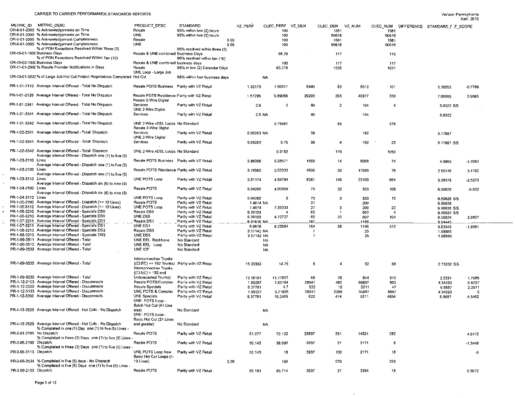$\sim$ 

|                          |                                                                             |                                              |                               |             |            |                  |       |                |        |                |                                        | April, 2010 |
|--------------------------|-----------------------------------------------------------------------------|----------------------------------------------|-------------------------------|-------------|------------|------------------|-------|----------------|--------|----------------|----------------------------------------|-------------|
|                          | METRIC ID METRIC DESC                                                       | PRODUCT DESC                                 | STANDARD                      | VZ PERF     |            | CLEC_PERF VZ_DEN |       | CLEC DEN       | VZ NUM |                | CLEC_NUM DIFFERENCE STANDARD E Z SCORE |             |
|                          | OR-8-01-2000 % Acknowledgements on Time                                     | Resale                                       | 95% within two (2) hours      |             |            | 100              |       | 1581           |        | 1581           |                                        |             |
|                          | OR-8-01-3000 % Acknowledgements on Time                                     | <b>UNE</b>                                   | 95% within two (2) hours      |             |            | 100              |       | 60618          |        | 60618          |                                        |             |
|                          | OR-9-01-2000 % Acknowledgement Completeness                                 | Resale                                       |                               | 0.99        |            | 100              |       | 1581           |        | 1581           |                                        |             |
|                          | OR-9-01-3000 % Acknowledgement Completeness                                 | <b>UNE</b>                                   |                               | 0.99        |            | 100              |       | 60618          |        | 60618          |                                        |             |
|                          | % of PON Exceptions Resolved Within Three (3)                               |                                              | 95% resolved within three (3) |             |            |                  |       |                |        |                |                                        |             |
|                          | OR-10-01-100C Business Days                                                 | Resale & UNE combined Business Days          |                               |             |            |                  |       | 117            |        |                |                                        |             |
|                          | % of PON Exceptions Resolved Within Ten (10)                                |                                              |                               |             |            | 98.29            |       |                |        | 115            |                                        |             |
|                          | OR-10-02-1000 Business Days                                                 |                                              | 99% resolved within ten (10)  |             |            |                  |       |                |        |                |                                        |             |
|                          |                                                                             | Resale & UNE combined business days          |                               |             |            | 100              |       | 117            |        | 117            |                                        |             |
|                          | OR-11-01-2000 % Resale Provider Notifications in Days                       | Resale                                       | 95% in two (2) Calendar Days  |             |            | 83.278           |       | 1226           |        | 1021           |                                        |             |
|                          |                                                                             | UNE Loop - Large Job                         |                               |             |            |                  |       |                |        |                |                                        |             |
|                          | OR-13-01-3523 % of Large Job Hot Cut Project Negotiations Completed Hot Cut |                                              | 98% within four business days |             | <b>NA</b>  |                  |       |                |        |                |                                        |             |
|                          |                                                                             |                                              |                               |             |            |                  |       |                |        |                |                                        |             |
|                          | PR-1-01-2110 Average Interval Offered - Total No Dispatch                   | Resale POTS Business Parity with VZ Retail   |                               | 1.32173     |            | 1.60317          | 6440  | 63             | 8512   | 101            | 3.26552                                | $-0.7768$   |
|                          |                                                                             |                                              |                               |             |            |                  |       |                |        |                |                                        |             |
|                          | PR-1-01-2120 Average Interval Offered - Total No Dispatch                   | Resale POTS Residence Parity with VZ Retail  |                               | 1.57296     |            | 0.89058          | 29293 | 393            | 46077  | 350            | 7.00595                                | 3.9565      |
|                          |                                                                             | Resale 2-Wire Digital                        |                               |             |            |                  |       |                |        |                |                                        |             |
|                          | PR-1-01-2341 Average Interval Offered - Total No Dispatch                   | Services                                     | Parity with VZ Retail         |             | 2.6        | $\overline{2}$   | 40    | $\overline{2}$ | 104    | $\overline{4}$ |                                        |             |
|                          |                                                                             | UNE 2-Wire Digital                           |                               |             |            |                  |       |                |        |                | 5.0322 SS                              |             |
|                          | PR-1-01-3341 Average Interval Offered - Total No Dispatch                   |                                              |                               |             |            |                  |       |                |        |                |                                        |             |
|                          |                                                                             | Services                                     | Parity with VZ Retail         |             | 2.6 NA     |                  | 40    |                | 104    |                | 5.0322                                 |             |
|                          |                                                                             |                                              |                               |             |            |                  |       |                |        |                |                                        |             |
|                          | PR-1-01-3342 Average Interval Offered - Total No Dispatch                   | UNE 2-Wire xDSt, Loops No Standard           |                               |             |            | 5.78461          |       | 65             |        | 376            |                                        |             |
|                          |                                                                             | Resale 2-Wire Digital                        |                               |             |            |                  |       |                |        |                |                                        |             |
|                          | PR-1-02-2341 Average Interval Offered - Total Dispatch                      | Services                                     | Panty with VZ Retail          | 5.05263 NA  |            |                  | 38    |                | 192    |                | 3.17887                                |             |
|                          |                                                                             | <b>UNE 2-Wire Digital</b>                    |                               |             |            |                  |       |                |        |                |                                        |             |
|                          | PR-1-02-3341 Average Interval Offered - Total Dispatch                      | Services                                     | Parity with VZ Retail         | 5.05263     |            | 5.75             | 38    | 4              | 192    | 23             | 3.17887 SS                             |             |
|                          |                                                                             |                                              |                               |             |            |                  |       |                |        |                |                                        |             |
|                          | PR-1-02-3342 Average Interval Offered - Total Dispatch                      | UNE 2-Wire xDSL Loops No Standard            |                               |             |            |                  |       |                |        |                |                                        |             |
|                          | Average Interval Offered - Dispatch one (1) to five (5)                     |                                              |                               |             |            | 5.9162           |       | 179            |        | 1059           |                                        |             |
|                          |                                                                             |                                              |                               |             |            |                  |       |                |        |                |                                        |             |
| PR-1-03-2110 Lines       |                                                                             | Resale POTS Business Parity with VZ Retail   |                               | 3.86366     |            | 5.28571          | 1555  | 14             | 6008   | -74            | 4.0865                                 | $-1.2083$   |
|                          | Average Interval Offered - Dispatch one (1) to five (5)                     |                                              |                               |             |            |                  |       |                |        |                |                                        |             |
| PR-1-03-2120 Lines       |                                                                             | Resale POTS Residence Parity with VZ Retail  |                               | 3.79383     |            | 2.53333          | 4506  | 30             | 17095  | 76             | 265146                                 | 3.4192      |
|                          | Average Interval Offered - Dispatch one (1) to five (5)                     |                                              |                               |             |            |                  |       |                |        |                |                                        |             |
| PR-1-03-3112 Lines       |                                                                             | UNE POTS Loop                                | Parity with VZ Retail         | 3.81174     |            | 4.54794          | 6061  | 146            | 23103  | 664            | 3.08376                                | $-2.5273$   |
|                          | Average Interval Offered - Dispatch six (6) to nine (9)                     |                                              |                               |             |            |                  |       |                |        |                |                                        |             |
| PR-1-04-2100 Lines       |                                                                             | Resale POTS                                  | Parity with VZ Retail         | 5.04285     |            | 4.90909          | -70   | 22             | 353    | 108            |                                        |             |
|                          | Average Interval Offered - Dispatch six (6) to nine (9)                     |                                              |                               |             |            |                  |       |                |        |                | 6.50626                                | 0.022       |
| PR-1-04-3112 Lines       |                                                                             | UNE POTS Loop                                | Parity with VZ Retail         |             |            |                  |       |                |        |                |                                        |             |
|                          |                                                                             |                                              |                               | 5.04285     |            | 5                | 70    | 3              | 353    | 15             | 6.50626 SS                             |             |
|                          | PR-1-05-2100 Average Interval Offered - Dispatch (>= 10 Lines)              | Resale POTS                                  | Parity with VZ Retail         |             | 7.4074 NA  |                  | 27    |                | 200    |                | 6.96838                                |             |
|                          | PR-1-05-3112 Average Interval Offered - Dispatch (>= 10 Lines)              | UNE POTS Loop                                | Parity with VZ Retail         | 7.4074      |            | 7.33333          | 27    | -3             | 200    | 22             | 6.96838 SS                             |             |
|                          | PR-1-06-2210 Average Interval Offered - Specials DS0                        | Resale DS0                                   | Parity with VZ Retail         | 9.26153     |            | 4                | 65    |                | 602    | 4              | 8.56824 SS                             |             |
|                          | PR-1-06-3210. Average Interval Offered - Specials DS0                       | UNE DS0                                      | Parity with VZ Retail         | 9.26153     |            | 4,72727          | 65    | 22             | 602    | 104            | 8.56824                                | 2,9837      |
|                          | PR-1-07-2211 Average Interval Offered - Specials DS1                        | Resale DS1                                   | Parity with VZ Retail         | .6.91616.NA |            |                  | 167   |                | .1155. |                | 3.64445                                |             |
|                          | PR-1-07-3211 Average Interval Offered - Specials DS1                        | UNE DS1                                      | Parity with VZ Retail         | 6.9878      |            | 8.23684          | 164   | 38             | 1146   | 313            | 3.63349                                | $-1.9361$   |
|                          | PR-1-08-2213 Average Interval Offered - Specials DS3                        | Resale DS3                                   | Parity with VZ Retail         | 3.57142 NA  |            |                  |       |                | 25     |                | 1.98805                                |             |
|                          | PR-1-08-3213 Average Interval Offered - Specials DS3                        | UNE DS3                                      | Parity with VZ Retail         |             | 3.57142 NA |                  | -7    |                | 25     |                |                                        |             |
|                          | PR-1-09-3511 Average Interval Offered - Total                               | UNE EEL Backbone                             | No Standard                   |             |            |                  |       |                |        |                | 1.98805                                |             |
|                          | PR-1-09-3512 Average Interval Offered - Total                               |                                              |                               |             | NА         |                  |       |                |        |                |                                        |             |
|                          |                                                                             | UNE EEL Loop                                 | No Standard                   |             | <b>NA</b>  |                  |       |                |        |                |                                        |             |
|                          | PR-1-09-3530 Average Interval Offered - Total                               | UNE IOF                                      | No Standard                   |             | <b>NA</b>  |                  |       |                |        |                |                                        |             |
|                          |                                                                             |                                              |                               |             |            |                  |       |                |        |                |                                        |             |
|                          |                                                                             | Interconnection Trunks                       |                               |             |            |                  |       |                |        |                |                                        |             |
|                          | PR-1-09-5020 Average Interval Offered - Total                               | ((CLEC) <= 192 Trunks) Parity with VZ Retail |                               | 15.33333    |            | 14.75            | -6    | 4              | 92     | 59             | 2.73252 SS                             |             |
|                          |                                                                             | <b>Interconnection Trunks</b>                |                               |             |            |                  |       |                |        |                |                                        |             |
|                          |                                                                             | $((CLEC) > 192$ and                          |                               |             |            |                  |       |                |        |                |                                        |             |
|                          | PR-1-09-5030 Average Interval Offered - Total                               | Unforecasted Trunks)                         | Parity with VZ Retail         | 12.18181    |            | 11.17857         | 66    | 28             | 804    | 313            | 2.3331                                 | 1,7986      |
|                          | PR-1-12-2103 Average Interval Offered - Disconnects                         | Resale POTS/Complex                          | Parity with VZ Retail         | 1,99297     |            | 1.83164          | 28047 | 493            | 55897  | 903            | 4.34293                                | 0.8297      |
|                          | PR-1-12-2200 Average Interval Offered - Disconnects                         | Resale Specials                              | Parity with VZ Retail         | 8.37781     |            | 4.7              | 622   | 10             | 5211   | 47             |                                        |             |
|                          | PR-1-12-3133 Average Interval Offered - Disconnects                         |                                              |                               |             |            |                  |       |                |        |                | 6.8687                                 | 2.2511      |
|                          |                                                                             | UNE POTS & Complex                           | Parity with VZ Retail         | 1.99297     |            | 3.71626          | 28047 | 2386           | 55897  | 8867           | 4.34293                                | -5          |
|                          | PR-1-12-3200 Average Interval Offered - Disconnects                         | UNE Specials                                 | Parity with VZ Retail         | 8,37781     |            | 10.2405          | 622   | 474            | 5211   | 4854           | 6.8687                                 | $-4.5462$   |
|                          |                                                                             | UNE: POTS Loop -                             |                               |             |            |                  |       |                |        |                |                                        |             |
|                          |                                                                             | Batch Hot Cut (All Line                      |                               |             |            |                  |       |                |        |                |                                        |             |
|                          | PR-1-13-3525 Average Interval Offered - Hot Cuts - No Dispatch              | size)                                        | No Standard                   |             | NA         |                  |       |                |        |                |                                        |             |
|                          |                                                                             | UNE: POTS Loop                               |                               |             |            |                  |       |                |        |                |                                        |             |
|                          |                                                                             | Basic Hot Cut (21 Lines                      |                               |             |            |                  |       |                |        |                |                                        |             |
|                          | PR-1-13-3529 Average Interval Offered - Hot Cuts - No Dispatch              | and greater)                                 | No Standard                   |             | <b>NA</b>  |                  |       |                |        |                |                                        |             |
|                          | % Completed in one (1) Day one (1) to five (5) Lines -                      |                                              |                               |             |            |                  |       |                |        |                |                                        |             |
| PR-3-01-2100 No Dispatch |                                                                             | Resale POTS                                  | Parity with VZ Retail         |             |            |                  |       |                |        |                |                                        |             |
|                          | % Completed in three (3) Days one (1) to five (5) Lines -                   |                                              |                               | 61.277      |            | 72.122           | 23697 | 391            | 14521  | 282            |                                        | 4,5172      |
|                          |                                                                             |                                              |                               |             |            |                  |       |                |        |                |                                        |             |
| PR-3-06-2100 Dispatch    |                                                                             | Resale POTS                                  | Parity with VZ Retail         | 55.143      |            | 38.095           | 3937  | 21             | 2171   | -8             |                                        | $-1.3446$   |
|                          | % Completed in three (3) Days one (1) to five (5) Lines -                   |                                              |                               |             |            |                  |       |                |        |                |                                        |             |
| PR-3-06-3113 Dispatch    |                                                                             | UNE POTS Loop New                            | Parity with VZ Retail         | 55.143      |            | 18               | 3937  | 100            | 2171   | 18             |                                        | -5          |
|                          |                                                                             | Basic Hot Cut Loops (1-                      |                               |             |            |                  |       |                |        |                |                                        |             |
|                          | PR-3-08-3534 % Completed in five (5) days - No Dispatch                     | 10 Lines)                                    |                               | 0.95        |            | 100              |       | 229            |        | 229            |                                        |             |
|                          | % Completed in five (5) Days one (1) to five (5) Lines                      |                                              |                               |             |            |                  |       |                |        |                |                                        |             |
| PR-3-09-2100 Dispatch    |                                                                             | Resale POTS                                  | Parity with VZ Retail         | 85.191      |            | 85.714           | 3937  | 21             | 3354   | 18             |                                        | 0.3072      |
|                          |                                                                             |                                              |                               |             |            |                  |       |                |        |                |                                        |             |

 $\sim$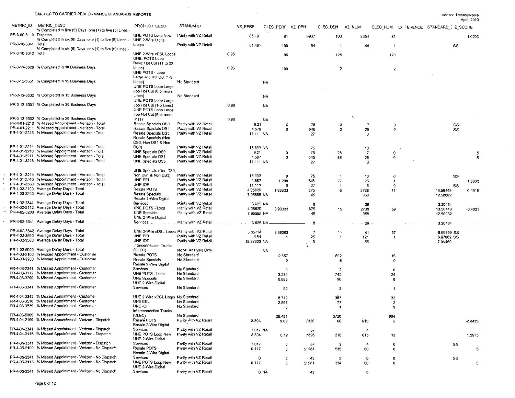$\sim$ 

 $\sim 10^{-1}$ 

 $\sim$ 

|                       |                                                                                                                        |                                                        |                        |      |                   |           |              |                  |                         |                          |                |                         |                               | April, 2010 |
|-----------------------|------------------------------------------------------------------------------------------------------------------------|--------------------------------------------------------|------------------------|------|-------------------|-----------|--------------|------------------|-------------------------|--------------------------|----------------|-------------------------|-------------------------------|-------------|
| METRIC ID             | METRIC_DESC                                                                                                            | <b>PRODUCT DESC</b>                                    | <b>STANDARD</b>        |      | VZ PERF           |           |              | CLEC PERF VZ DEN | CLEC_DEN                | VZ NUM                   | CLEC NUM       |                         | DIFFERENCE STANDARD I Z SCORE |             |
| PR-3-09-3113 Dispatch | % Completed in five (5) Days one (1) to five (5) Lines -                                                               | UNE POTS Loop New                                      | Parity with VZ Retail  |      | 85.191            |           |              | 3937             |                         |                          |                |                         |                               |             |
|                       | % Completed in six (6) Days one (1) to five (5) Lines -                                                                | UNE 2-Wire Digital                                     |                        |      |                   |           | 81           |                  | 100                     | 3354                     | 81             |                         |                               | $-1.0203$   |
| PR-3-10-3341 Total    | % Completed in six (6) Days one (1) to five (5) Lines -                                                                | Loops                                                  | Parity with VZ Retail  |      | 81.481            |           | 100          | 54               | $\overline{1}$          | 44                       |                |                         | SS                            |             |
| PR-3-10-3342 Total    |                                                                                                                        | UNE 2-Wire xDSL Loops                                  |                        | 0.95 |                   |           | 96           |                  | 125                     |                          | 120            |                         |                               |             |
|                       |                                                                                                                        | UNE: POTS Loop<br>Basic Hot Cut (11 to 20              |                        |      |                   |           |              |                  |                         |                          |                |                         |                               |             |
|                       | PR-3-11-3528 % Completed in 10 Business Days                                                                           | Lines)                                                 |                        | 0.95 |                   |           | 100          |                  | $\overline{2}$          |                          |                | $\overline{\mathbf{z}}$ |                               |             |
|                       |                                                                                                                        | UNE POTS - Loop -<br>Large Job Hot Cut (1-5            |                        |      |                   |           |              |                  |                         |                          |                |                         |                               |             |
|                       | PR-3-12-3531 % Completed in 15 Business Days                                                                           | Lines)                                                 | No Standard            |      |                   | <b>NA</b> |              |                  |                         |                          |                |                         |                               |             |
|                       |                                                                                                                        | UNE POTS Loop Large<br>Job Hot Cut (6 or more          |                        |      |                   |           |              |                  |                         |                          |                |                         |                               |             |
|                       | PR-3-12-3532 % Completed in 15 Business Days                                                                           | Lines)                                                 | No Standard            |      |                   | <b>NA</b> |              |                  |                         |                          |                |                         |                               |             |
|                       | PR-3-13-3531 % Completed in 26 Business Days                                                                           | UNE POTS Loop Large<br>Job Hot Cut (1-5 Lines)         |                        |      |                   |           |              |                  |                         |                          |                |                         |                               |             |
|                       |                                                                                                                        | UNE POTS Loop Large                                    |                        | 0.98 |                   | NA.       |              |                  |                         |                          |                |                         |                               |             |
|                       | PR-3-13-3532 % Completed in 26 Business Days                                                                           | Job Hot Cut (6 or more<br>lines)                       |                        |      |                   |           |              |                  |                         | $\overline{\phantom{0}}$ |                |                         |                               |             |
|                       | PR-4-01-2210 % Missed Appointment - Verizon - Total                                                                    | Resale Specials DS0                                    | Parity with VZ Retail  | 0.98 | 9.21              | <b>NA</b> |              |                  |                         |                          | $\overline{7}$ |                         |                               |             |
|                       | PR-4-01-2211 % Missed Appointment - Verizon - Total                                                                    | Resale Specials DS1                                    | Parity with VZ Retail  |      | 4.578             |           | 0<br>O       | 76<br>546        | 3<br>$\overline{c}$     | 25                       |                | 0<br>0                  | ss<br>SS                      |             |
|                       | PR-4-01-2213 % Missed Appointment - Verizon - Total                                                                    | Resale Specials DS3                                    | Panty with VZ Retail   |      | 11.111 NA         |           |              | 27               |                         | 3                        |                |                         |                               |             |
|                       |                                                                                                                        | Resale Specials (Non                                   |                        |      |                   |           |              |                  |                         |                          |                |                         |                               |             |
|                       | PR-4-01-2214 % Missed Appointment - Verizon - Total                                                                    | DS0, Non DS1 & Non<br>DS3)                             | Parity with VZ Retail  |      |                   |           |              |                  |                         |                          |                |                         |                               |             |
|                       | PR-4-01-3210 % Missed Appointment - Verizon - Total                                                                    | UNE Specials DS0                                       | Parity with VZ Retail  |      | 13.333 NA<br>9.21 |           | $\mathbf 0$  | 75<br>76         | 26                      | 10<br>$\overline{7}$     |                | 0                       |                               | -5          |
|                       | PR-4-01-3211 % Missed Appointment - Verizon - Total                                                                    | UNE Specials DS1                                       | Parity with VZ Retail  |      | 4.587             |           | $\mathbf{0}$ | 545              | 63                      | 25                       |                | 0                       |                               | 5           |
|                       | PR-4-01-3213 % Missed Appointment - Verizon - Total                                                                    | UNE Specials DS3                                       | Parity with VZ Retail  |      | 11.111 NA         |           |              | -27              |                         | -3                       |                |                         |                               |             |
|                       |                                                                                                                        | UNE Specials (Non DS0,                                 |                        |      |                   |           |              |                  |                         |                          |                |                         |                               |             |
|                       | PR-4-01-3214 % Missed Appointment - Verizon - Total                                                                    | Non DS1 & Non DS3)                                     | Parity with VZ Retail  |      | 13.333            |           | o            | 75               | -1                      | 10                       | 0              |                         | SS                            |             |
|                       | PR-4-01-3510 % Missed Appointment - Verizon - Total                                                                    | UNE EEL                                                | Parity with VZ Retail  |      | 4.587             |           | 1.298        | 545              | 77                      | 25                       | -1             |                         |                               | 1.8832      |
|                       | PR-4-01-3530 % Missed Appointment - Verizon - Total                                                                    | UNE IOF                                                | Parity with VZ Retail  |      | 11.111            |           |              | 27               | -1                      | -3                       | 0              |                         | SS                            |             |
|                       | PR-4-02-2100 Average Delay Days - Total<br>PR-4-02-2200 Average Delay Days - Total                                     | Resale POTS                                            | Parity with VZ Retail  |      | 4.05629           |           | 1.83333      | 675              | 6                       | 2738                     | 11             |                         | 13.56443                      | 0.4915      |
|                       |                                                                                                                        | Resale Specials<br>Resale 2-Wire Digital               | Parity with VZ Retail. |      | 7.95555 NA        |           |              | 45               |                         | 358                      |                |                         | 12.50082                      |             |
|                       | PR-4-02-2341 Average Delay Days - Total                                                                                | Services                                               | Parity with VZ Retail  |      | 3.625 NA          |           |              | -8               |                         | 29                       |                |                         | 3.20434                       |             |
|                       | PR-4-02-3112 Average Delay Days - Total                                                                                | UNE POTS - Loop                                        | Parity with VZ Retail  |      | 4.05629           |           | 3.93333      | 675              | 15                      | 2738                     | 59             |                         | 13.56443                      | $-0.4321$   |
|                       | PR-4-02-3200 Average Delay Days - Total                                                                                | <b>UNE Specials</b><br>UNE 2-Wire Digital              | Parity with VZ Retail  |      | 7.95555 NA        |           |              | 45               |                         | 358                      |                |                         | 12.50082                      |             |
|                       | _PR-4-02-3341_Average Delay Days -_Total                                                                               | Services                                               | . Panty with VZ Retail |      | -3.625 NA         |           |              |                  |                         | -29                      |                |                         | 3.20434                       |             |
|                       | PR-4-02-3342 Average Delay Days - Total                                                                                |                                                        |                        |      |                   |           |              |                  |                         |                          |                |                         |                               |             |
|                       | PR-4-02-3510 Average Delay Days - Total                                                                                | UNE 2-Wire xDSL Loops Parity with VZ Retail<br>UNE EEL | Parity with VZ Retail  |      | 5.85714<br>4.84   |           | 3.36363      | -7               | 11                      | 41                       | 37             |                         | 6.69399 SS                    |             |
|                       | PR-4-02-3530 Average Delay Days - Total                                                                                | UNE IOF                                                | Parity with VZ Retail  |      | 18.33333 NA       |           | -1           | 25<br>-3         | -1                      | 121<br>55                | -1             |                         | 8.97069 SS<br>7.09459         |             |
|                       |                                                                                                                        | <b>Interconnection Trunks</b>                          |                        |      |                   |           |              |                  |                         |                          |                |                         |                               |             |
|                       | PR-4-02-5000 Average Delay Days - Total                                                                                | (CLEC)                                                 | None: Analysis Only    |      |                   | NA        |              |                  |                         |                          |                |                         |                               |             |
|                       | PR-4-03-2100 % Missed Appointment - Customer                                                                           | Resale POTS                                            | No Standard            |      |                   |           | 2.657        |                  | 602                     |                          | 16             |                         |                               |             |
|                       | PR-4-03-2200 % Missed Appointment - Customer                                                                           | Resale Specials<br>Resale 2-Wire Digital               | No Standard            |      |                   |           | $\Omega$     |                  | 5                       |                          |                | 0                       |                               |             |
|                       | PR-4-03-2341 % Missed Appointment - Customer                                                                           | Services                                               | No Standard            |      |                   |           | 0            |                  | 2                       |                          | 0              |                         |                               |             |
|                       | PR-4-03-3112 % Missed Appointment - Customer                                                                           | UNE POTS - Loop                                        | No Slandard            |      |                   |           | 3.234        |                  | 742                     |                          | 24             |                         |                               |             |
|                       | PR-4-03-3200 % Missed Appointment - Customer                                                                           | <b>UNE Specials</b><br>UNE 2-Wire Digital              | No Standard            |      |                   |           | 8.888        |                  | 90                      |                          | 8              |                         |                               |             |
|                       | PR-4-03-3341 % Missed Appointment - Customer                                                                           | Services                                               | No Standard            |      |                   |           | 50           |                  | 2                       |                          | -1             |                         |                               |             |
|                       | PR-4-03-3342 % Missed Appointment - Customer                                                                           | UNE 2-Wire xDSL Loops No Standard                      |                        |      |                   |           | 8.719        |                  | 367                     |                          | 32             |                         |                               |             |
|                       | PR-4-03-3510 % Missed Appointment - Customer                                                                           | UNE EEL                                                | No Standard            |      |                   |           | 2.597        |                  | 77                      |                          | 2              |                         |                               |             |
|                       | PR-4-03-3530 % Missed Appointment - Customer                                                                           | UNE IOF<br>Interconnection Trunks                      | No Standard            |      |                   |           | $\circ$      |                  | $\overline{\mathbf{1}}$ |                          | 0              |                         |                               |             |
|                       | PR-4-03-5000 % Missed Appointment - Customer                                                                           | (CLEC)                                                 | No Standard            |      |                   |           | 26.451       |                  | 3720                    |                          | 984            |                         |                               |             |
|                       | PR-4-04-2100 % Missed Appointment - Verizon - Dispatch                                                                 | Resalé POTS<br>Resale 2-Wire Digital                   | Parity with VZ Retail  |      | 8.394             |           | 9.09         | 7326             | 66                      | 615                      | 6              |                         |                               | $-0.0423$   |
|                       | PR-4-04-2341 % Missed Appointment - Verizon - Dispatch                                                                 | Services                                               | Parity with VZ Retail  |      | 7.017 NA          |           |              | 57               |                         | -4                       |                |                         |                               |             |
|                       | PR-4-04-3113 % Missed Appointment - Verizon - Dispatch                                                                 | UNE POTS Loop New                                      | Parity with VZ Retail  |      | 8.394             |           | 6.19         | 7326             | 210                     | 615                      | 13             |                         |                               | 1,2913      |
|                       | PR-4-04-3341 % Missed Appointment - Verizon - Dispatch                                                                 | UNE 2-Wire Digital<br>Services                         | Parity with VZ Retail  |      | 7.017             |           | o            | 57               | 2                       |                          | 0              |                         | SS                            |             |
|                       | PR-4-05-2100 % Missed Appointment - Verizon - No Dispatch                                                              | Resale POTS                                            | Parity with VZ Retail  |      | 0.117             |           | $\mathbf 0$  | 51281            | 536                     | -4<br>60                 | 0              |                         |                               | 5           |
|                       |                                                                                                                        | Resale 2-Wire Digital                                  |                        |      |                   |           |              |                  |                         |                          |                |                         |                               |             |
|                       | PR-4-05-2341 % Missed Appointment - Verizon - No Dispatch<br>PR-4-05-3113 % Missed Appointment - Verizon - No Dispatch | Services<br>UNE POTS Loop New                          | Panty with VZ Retail   |      | 0                 |           | 0            | 43               | $\overline{c}$          | 0                        | 0              |                         | SS                            |             |
|                       |                                                                                                                        | UNE 2-Wire Digital                                     | Parity with VZ Retail  |      | 0.117             |           | $\mathbf 0$  | 51281            | 234                     | 60                       |                | 0                       |                               | 5           |
|                       | PR-4-05-3341 % Missed Appointment - Verizon - No Dispatch                                                              | Services                                               | Parity with VZ Retail  |      | 0 NA              |           |              | 43               |                         | 0                        |                |                         |                               |             |

43

 $\pmb{\mathfrak{o}}$ 

 $\sim$ 

 $\sim$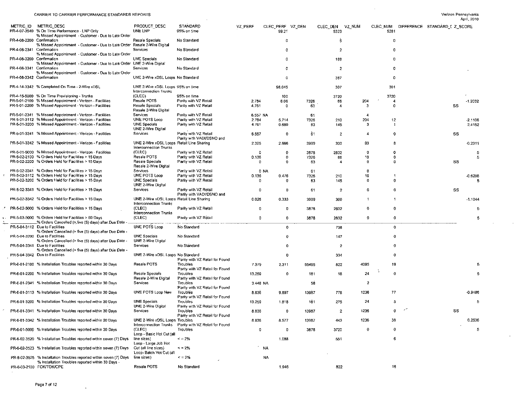$\sim$   $\sim$ 

 $\sim$ 

 $\sim$ 

 $\sim 10^7$ 

|                           |                                                                                                               |                                                                            |                                                    |             |                           |       |                            |                         |              |                                        | April, 2010 |
|---------------------------|---------------------------------------------------------------------------------------------------------------|----------------------------------------------------------------------------|----------------------------------------------------|-------------|---------------------------|-------|----------------------------|-------------------------|--------------|----------------------------------------|-------------|
|                           | METRIC ID METRIC DESC<br>PR-4-07-3540 % On Time Performance - LNP Only                                        | PRODUCT_DESC<br>UNE LNP                                                    | STANDARD<br>95% on time                            | VZ PERF     | CLEC PERF VZ DEN<br>99.21 |       | CLEC DEN<br>VZ NUM<br>5323 |                         | 5281         | CLEC NUM DIFFERENCE STANDARD_I Z_SCORE |             |
| PR-4-08-2200 Confirmation | % Missed Appointment - Customer - Due to Late Order                                                           | Resale Specials                                                            | No Standard                                        |             | 0                         |       | -5                         |                         | O            |                                        |             |
|                           | % Missed Appointment - Customer - Due to Late Order Resale 2-Wire Digital                                     |                                                                            |                                                    |             |                           |       |                            |                         |              |                                        |             |
| PR-4-08-2341 Confirmation | % Missed Appointment - Customer - Due to Late Order                                                           | Services                                                                   | No Standard                                        |             | n.                        |       | $\overline{2}$             |                         | n            |                                        |             |
| PR-4-08-3200 Confirmation | % Missed Appointment - Customer - Due to Late Order UNE 2-Wire Digital                                        | <b>UNE Specials</b>                                                        | No Standard                                        |             | $\Omega$                  |       | 168                        |                         | o            |                                        |             |
| PR-4-08-3341 Confirmation | % Missed Appointment - Customer - Due to Late Order                                                           | Services                                                                   | No Standard                                        |             | n                         |       | $\overline{2}$             |                         | 0            |                                        |             |
| PR-4-08-3342 Confirmation |                                                                                                               | UNE 2-Wire xDSL Loops No Standard                                          |                                                    |             | 0                         |       | 367                        |                         | 0            |                                        |             |
|                           | PR-4-14-3342 % Completed On Time - 2-Wire xDSL                                                                | UNE 2-Wire xDSL Loops 95% on time                                          |                                                    |             | 98,045                    |       | 307                        |                         | 301          |                                        |             |
|                           | PR-4-15-5000 % On Time Provisioning - Trunks                                                                  | Interconnection Trunks<br>(CLEC)                                           | 95% on time                                        |             | 100                       |       | 3720                       |                         | 3720         |                                        |             |
|                           | PR-5-01-2100 % Missed Appointment - Verizon - Facilities                                                      | Resale POTS                                                                | Parity with VZ Retail                              | 2.784       | 6.06                      | 7326  | 66                         | 204                     | 4            |                                        | $-1.2032$   |
|                           | PR-5-01-2200 % Missed Appointment - Verizon - Facilities                                                      | Resale Specials<br>Resale 2-Wire Digital                                   | Parity with VZ Retail                              | 4.761       | 0                         | 63    | $\overline{4}$             | 3                       | $\Omega$     | SS                                     |             |
|                           | PR-5-01-2341 % Missed Appointment - Verizon - Facilities                                                      | Services                                                                   | Parity with VZ Retail                              | 6.557 NA    |                           | 61    |                            |                         |              |                                        |             |
|                           | PR-5-01-3112 % Missed Appointment - Verizon - Facilities                                                      | UNE POTS Loop                                                              | Parity with VZ Retail                              | 2.784       | 5.714                     | 7326  | 210                        | 204                     | 12           |                                        | $-2.1106$   |
|                           | PR-5-01-3200 % Missed Appointment - Verizon - Facilities                                                      | UNE Specials<br>UNE 2-Wire Digital                                         | Parity with VZ Retail                              | 4.761       | 0.689                     | 63    | 145                        | -3                      | -1           |                                        | 2.4152      |
|                           | PR-5-01-3341 % Missed Appointment - Verizon - Facilities                                                      | Services                                                                   | Parity with VZ Retail<br>Parity with VADI/DSNO and | 6.557       | $\Omega$                  | 61    | $\overline{z}$             | 4                       | o            | SS                                     |             |
|                           | PR-5-01-3342 % Missed Appointment - Verizon - Facilities                                                      | UNE 2-Wire xDSL Loops Retail Line Sharing<br><b>Interconnection Trunks</b> |                                                    | 2.325       | 2.666                     | 3999  | 300                        | 93                      | 8            |                                        | $-0.2311$   |
|                           | PR-5-01-5000 % Missed Appointment - Verizon - Facilities                                                      | (CLEC)                                                                     | Parity with VZ Retail                              | $\Omega$    | $\Omega$                  | 3878  | 2832                       | 0                       | o            |                                        | 5           |
|                           | PR-5-02-2100 % Orders Held for Facilities > 15 Days                                                           | Resale POTS                                                                | Parity with VZ Retail                              | 0.136       | 0                         | 7326  | 66                         | 10                      | 0            |                                        | 5           |
|                           | PR-5-02-2200 % Orders Held for Facilities > 15 Days                                                           | Resale Specials<br>Resale 2-Wire Digital                                   | Parity with VZ Retail                              | -0          | $^{\circ}$                | 63    | -4                         | -0                      | $\Omega$     | SS                                     |             |
|                           | PR-5-02-2341 % Orders Held for Facilities > 15 Days                                                           | Services                                                                   | Parity with VZ Retail                              | 0 NA        |                           | 61    |                            | n                       |              |                                        |             |
|                           | PR-5-02-3112 % Orders Held for Facilities > 15 Days                                                           | UNE POTS Loop                                                              | Parity with VZ Retail                              | 0.136       | 0.476                     | 7326  | 210                        | 10                      |              |                                        | $-0.6208$   |
|                           | PR-5-02-3200 % Orders Held for Facilities > 15 Days                                                           | <b>UNE Specials</b><br>UNE 2-Wire Digital                                  | Parity with VZ Retail                              | -0          | 0                         | 63    | 145                        | $\Omega$                | 0            |                                        | 5           |
|                           | PR-5-02-3341 % Orders Held for Facilities > 15 Days                                                           | Services                                                                   | Parity with VZ Retail<br>Parity with VADI/DSNO and | $\mathbf 0$ | 0                         | 61    | $\overline{c}$             | 0                       | 0            | SS                                     |             |
|                           | PR-5-02-3342 % Orders Held for Facilities > 15 Days                                                           | UNE 2-Wire xDSL Loops Retail Line Sharing<br>Interconnection Trunks        |                                                    | 0.025       | 0.333                     | 3999  | 300                        |                         | $\mathbf{1}$ |                                        | $-1.1044$   |
|                           | PR-5-02-5000 % Orders Held for Facilities > 15 Days                                                           | (CLEC)<br><b>Interconnection Trunks</b>                                    | Parity with VZ Retail                              | -0          | O                         | 3878  | 2832                       | $\mathbf 0$             | 0            |                                        | 5           |
|                           | PR-5-03-5000 % Orders Held for Facilities > 60 Days<br>_% Orders Cancelled (> five (5) days) after Due Date - | (CLEC)                                                                     | Parity with VZ Retail                              | $\mathbf 0$ | 0                         | 3878  | 2832                       | $\mathbf 0$             | 0            |                                        | 5           |
|                           | PR-5-04-3112 Due to Facilities<br>% Orders Cancelled (> five (5) days) after Due Date -                       | UNE POTS Loop                                                              | No Standard                                        |             | $\mathbf 0$               |       | 738                        |                         | $\Omega$     |                                        |             |
|                           | PR-5-04-3200 Due to Facilities<br>% Orders Cancelled (> five (5) days) after Due Date -                       | <b>UNE Specials</b><br>UNE 2-Wire Digital                                  | No Standard                                        |             | $\mathbf{0}$              |       | 147                        |                         | 0            |                                        |             |
|                           | PR-5-04-3341 Due to Facilities<br>% Orders Cancelled (> five (5) days) after Due Date -                       | Services                                                                   | No Standard                                        |             | 0                         |       | $\overline{2}$             |                         | $\Omega$     |                                        |             |
|                           | PR-5-04-3342 Due to Facilities                                                                                | UNE 2-Wire xDSL Loops No Standard                                          | Parity with VZ Retail for Found                    |             | 0                         |       | 334                        |                         | $\Omega$     |                                        |             |
|                           | PR-6-01-2100 % Installation Troubles reported within 30 Days                                                  | Resale POTS                                                                | Troubles<br>Panty with VZ Retail for Found         | 7.379       | 2.311                     | 55495 | 822                        | 4095                    | 19           |                                        |             |
|                           | PR-6-01-2200 % Installation Troubles reported within 30 Days                                                  | Resale Specials<br>Resale 2-Wire Digital                                   | Troubles<br>Parity with VZ Retail for Found        | 13.259      | 0                         | 181   | 18                         | 24                      | $\mathbf{0}$ |                                        | 5           |
|                           | PR-6-01-2341 % Installation Troubles reported within 30 Days                                                  | Services                                                                   | Troubles                                           | 3.448 NA    |                           | 58    |                            | $\overline{\mathbf{z}}$ |              |                                        |             |
|                           | PR-6-01-3113 % Installation Troubles reported within 30 Days                                                  | UNE POTS Loop New                                                          | Parity with VZ Retail for Found<br>Troubles        | 8.836       | 9.897                     | 13987 | 778                        | 1236                    | 77           |                                        | $-0.9486$   |
|                           | PR-6-01-3200 % Installation Troubles reported within 30 Days                                                  | <b>UNE Specials</b>                                                        | Parity with VZ Retail for Found<br>Troubles        | 13.259      | 1.818                     | 181   | 275                        | 24                      | 5            |                                        | 5           |
|                           | PR-6-01-3341 % Installation Troubles reported within 30 Days                                                  | UNE 2-Wire Digital<br>Services                                             | Parity with VZ Retail for Found<br>Troubles        | 8.836       | 0                         | 13987 | 2                          | 1236                    |              | SS                                     |             |
|                           | PR-6-01-3342 % Installation Troubles reported within 30 Days                                                  | UNE 2-Wire xDSL Loops Troubles                                             | Parity with VZ Retail for Found                    | 8.836       | 8.577                     | 13987 | 443                        | 1236                    | 38           |                                        | 0.2536      |
|                           | PR-6-01-5000 % Installation Troubles reported within 30 Days                                                  | Interconnection Trunks<br>(CLEC)                                           | Parity with VZ Retail for Found<br>Troubles        | $\circ$     | O                         | 3878  | 3720                       | $\mathbf 0$             | $\mathbf 0$  |                                        | 5           |
|                           | PR-6-02-3520 % Installation Troubles reported within seven (7) Days                                           | Loop - Basic Hot Cut (all<br>line sizes)                                   | $\leq$ = 2%                                        |             | 1.088                     |       | 551                        |                         | 6            |                                        |             |
|                           | PR-6-02-3523 % Installation Troubles reported within seven (7) Days                                           | Loop - Large Job Hot<br>Cut (all line sizes)                               | $\leq$ = 2%                                        |             | NA                        |       |                            |                         |              |                                        |             |
|                           | PR-6-02-3525 % Installation Troubles reported within seven (7) Days                                           | Loop-Batch Hot Cut (all<br>line sizes)                                     | $\leq$ = 2%                                        |             | NA                        |       |                            |                         |              |                                        |             |
|                           | % Installation Troubles reported within 30 Days -<br>PR-6-03-2100 FOK/TOK/CPE                                 | Resale POTS                                                                | No Standard                                        |             | 1.946                     |       | 822                        |                         | 16           |                                        |             |
|                           |                                                                                                               |                                                                            |                                                    |             |                           |       |                            |                         |              |                                        |             |

 $\sim$   $\sim$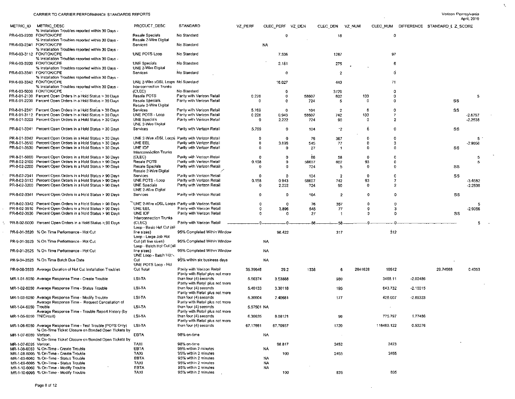| Verizon Pennsylvania |
|----------------------|
| $-1000000$           |

 $\mathcal{K}^{\mathcal{A}}$ 

|                          | CARRIER TO CARRIER FERFORMANCE 3 IMPORTED REFORTS                                                                                  |                                                               |                                                               |             |                |                  |              |                |             |             |            |                               | ---------<br>April, 2010 |  |
|--------------------------|------------------------------------------------------------------------------------------------------------------------------------|---------------------------------------------------------------|---------------------------------------------------------------|-------------|----------------|------------------|--------------|----------------|-------------|-------------|------------|-------------------------------|--------------------------|--|
| METRIC ID                | <b>METRIC_DESC</b><br>% Installation Troubles reported within 30 Days -                                                            | PRODUCT DESC                                                  | STANDARD                                                      | VZ PERF     |                | CLEC_PERF VZ_DEN | CLEC DEN     | VZ NUM         |             | CLEC NUM    |            | DIFFERENCE STANDARD L Z SCORE |                          |  |
|                          | PR-6-03-2200 FOK/TOK/CPE<br>% Installation Troubles reported within 30 Days -                                                      | Resale Specials<br>Resale 2-Wire Digital                      | No Standard                                                   |             |                | 0                |              | 18             |             | $\mathbf 0$ |            |                               |                          |  |
|                          | PR-6-03-2341 FOK/TOK/CPE                                                                                                           | Services                                                      | No Standard                                                   |             | <b>NA</b>      |                  |              |                |             |             |            |                               |                          |  |
|                          | % Installation Troubles reported within 30 Days -<br>PR-6-03-3112 FOK/TOK/CPE<br>% Installation Troubles reported within 30 Days - | UNE POTS Loop                                                 | No Standard                                                   |             | 7.536          |                  |              | 1287           |             | 97          |            |                               |                          |  |
|                          | PR-6-03-3200 FOK/TOK/CPE<br>% Installation Troubles reported within 30 Days -                                                      | UNE Specials<br>UNE 2-Wire Digital                            | No Standard                                                   |             | 2.181          |                  |              | 275            |             | 6           |            |                               |                          |  |
|                          | PR-6-03-3341 FOK/TOK/CPE<br>% Installation Troubles reported within 30 Days -                                                      | Services                                                      | No Standard                                                   |             |                | 0                |              | $\overline{2}$ |             | Ð           |            |                               |                          |  |
|                          | PR-6-03-3342 FOK/TOK/CPE<br>% Installation Troubles reported within 30 Days -                                                      | UNE 2-Wire xDSL Loops No Standard<br>Interconnection Trunks   |                                                               |             | 16.027         |                  |              | 443            |             | 71          |            |                               |                          |  |
|                          | PR-6-03-5000 FOK/TOK/CPE                                                                                                           | (CLEC)                                                        | No Standard                                                   |             |                | 0                |              | 3720           |             | $\mathbf 0$ |            |                               |                          |  |
|                          | PR-8-01-2100 Percent Open Orders in a Hold Status > 30 Days                                                                        | Resale FOTS                                                   | Parity with Verizon Retail                                    | 0.226       |                | 0                | 58607        | 602            | 133         | 0           |            |                               | -5                       |  |
|                          | PR-8-01-2200 Percent Open Orders in a Hold Status > 30 Days                                                                        | Resale Specials<br>Resale 2-Wire Digital                      | Parity with Verizon Retail                                    | -0          |                | $\mathbf{0}$     | -724         | -5             | -0          | $\Omega$    |            | SS                            |                          |  |
|                          | PR-8-01-2341 Percent Open Orders in a Hold Status > 30 Days                                                                        | Services                                                      | Parity with Verizon Retail                                    | 5.769       |                | 0                | 104          | $\overline{2}$ | -6          | $\Omega$    |            | SS                            |                          |  |
|                          | PR-8-01-3112 Percent Open Orders in a Hold Status > 30 Days<br>PR-8-01-3200 Percent Open Orders in a Hold Status > 30 Days         | UNE POTS - Loop<br><b>UNE Specials</b><br>UNE 2-Wire Digital  | Parity with Verizon Retail<br>Parity with Verizon Retail      | 0.226<br>-0 | 0.943<br>2.222 |                  | 58607<br>724 | 742<br>90      | 133<br>0    | 7<br>2      |            |                               | -2.8797<br>$-2.2538$     |  |
|                          | PR-8-01-3341 Percent Open Orders in a Hold Status > 30 Days                                                                        | Services                                                      | Parity with Verizon Retail                                    | 5.769       |                | 0                | 104          | $\cdot$        | 6           | $\Omega$    |            | SS                            |                          |  |
|                          | PR-8-01-3342 Percent Open Orders in a Hold Status > 30 Days                                                                        |                                                               | UNE 2-Wire xDSL Loops Parity with Verizon Retail              | o           |                | $\mathbf 0$      | 76           | 367            | Ð           | o           |            |                               | 5                        |  |
|                          | PR-8-01-3510 Percent Open Orders in a Hold Status > 30 Days                                                                        | UNE EEL                                                       | Parity with Verizon Retail                                    | 0           |                | 3.896            | 545          | -77            | o           | 3           |            |                               | $-2.9056$                |  |
|                          | PR-8-01-3530 Percent Open Orders in a Hold Status > 30 Days                                                                        | UNE IOF<br>Interconnection Trunks                             | Parity with Verizon Retail                                    | 0           |                | 0                | 27           | -1             | O           | 0           |            | SS                            |                          |  |
|                          | PR-8-01-5000 Percent Open Orders in a Hold Status > 30 Days                                                                        | (CLEC)                                                        | Parity with Verizon Retail                                    | 0           |                | O                | 86           | 58             | $^{\circ}$  | n           |            |                               | 5                        |  |
|                          | PR-8-02-2100 Percent Open Orders in a Hold Status > 90 Days<br>PR-8 02-2200 Percent Open Orders in a Hold Status > 90 Days         | Resale POTS<br>Resale Specials<br>Resale 2-Wire Digital       | Parity with Verizon Retail<br>Parity with Verizon Retail      | 0.156<br>0  |                | $\Omega$<br>Ð    | 58607<br>724 | 602<br>5       | 93<br>-0    | 0<br>0      |            | SS                            | -5                       |  |
|                          | PR-8-02-2341 Percent Open Orders in a Hold Status > 90 Days                                                                        | Services                                                      | Parity with Verizon Retail                                    | Ω           |                | n                | 104          | -2             | $\Omega$    | n           |            | SS                            |                          |  |
|                          | PR-8-02-3112 Percent Open Orders in a Hold Status > 90 Days                                                                        | UNE POTS - Loop                                               | Parity with Verizon Retail                                    | 0.158       | 0.943          |                  | 58607        | 742            | 93          | 7           |            |                               | $-3.4582$                |  |
|                          | PR-8-02-3200 Percent Open Orders in a Hold Status > 90 Days                                                                        | <b>UNE Specials</b><br>UNE 2-Wire Digital                     | Parity with Verizon Retail                                    | 0           |                | 2.222            | 724          | 90             | $\mathbf 0$ | 2           |            |                               | $-2.2538$                |  |
|                          | PR-8-02-3341 Percent Open Orders in a Hold Status > 90 Days                                                                        | Services                                                      | Parity with Verizon Retail                                    | 0           |                | 0                | 104          | 2              | o           | $\Omega$    |            | SS                            |                          |  |
|                          | PR-8-02-3342 Percent Open Orders in a Hold Status > 90 Days                                                                        |                                                               | UNE 2-Wire xDSL Loops Panty with Verizon Retail               | 0           |                | $\Omega$         | 76           | 367            | o           |             |            |                               | 5                        |  |
|                          | PR-8-02-3510 Percent Open Orders in a Hold Status > 90 Days                                                                        | UNE EEL                                                       | Parity with Verizon Retail                                    | 0           |                | 3.896            | 545          | 77             | 0           |             |            |                               | -2.9056                  |  |
|                          | PR-8-02-3530 Percent Open Orders in a Hold Status > 90 Days                                                                        | UNE IOF                                                       | Parity with Verizon Retail                                    | $\mathbf 0$ |                | n                | 27           | -1             | n           | $\Omega$    |            | SS                            |                          |  |
|                          | PR-8-02-5000 Percent Open Orders in a Hold Status > 90 Days                                                                        | Interconnection Trunks<br>(CLEC)<br>Loop - Basic Hot Cut (all | Parity with Verizon Retail                                    |             |                |                  | -86          | 58             |             |             |            |                               |                          |  |
|                          | PR-9-01-3520 % On Time Performance - Hot Cut                                                                                       | line sizes)<br>Loop - Large Job Hot                           | 95% Completed Within Window                                   |             | 98.422         |                  |              | 317            |             | 312         |            |                               |                          |  |
|                          | PR-9-01-3523 % On Time Performance - Hot Cut                                                                                       | Cut (all line sizes)<br>Loop - Batch Hot Cut (all             | 95% Completed Within Window                                   |             | NA             |                  |              |                |             |             |            |                               |                          |  |
|                          | PR-9-01-3525 % On Time Performance - Hot Cut                                                                                       | line sizes)<br>UNE Loop - Batch Hot                           | 95% Completed Within Window                                   |             | NA.            |                  |              |                |             |             |            |                               |                          |  |
|                          | PR-9-04-3525 % On Time Batch Due Date                                                                                              | Cut<br>UNE POTS Loop - Hot                                    | 95% within six business days                                  |             | NA             |                  |              |                |             |             |            |                               |                          |  |
|                          | PR-9-08-3533 Average Duration of Hot Cut Installation Troubles                                                                     | Cut Total                                                     | Panty with Verizon Retail<br>Parity with Retail plus not more | 35.39646    |                | 29.2             | 1338         | 6              | 2841628     | 10512       |            | 29.74968                      | 0.4353                   |  |
|                          | MR-1-01-6050 Average Response Time - Create Trouble                                                                                | <b>LSI-TA</b>                                                 | than four (4) seconds<br>Parity with Retail plus not more     | 5.56374     | 3.53888        |                  |              | 980            |             | 3468 11     | $-2.02486$ |                               |                          |  |
|                          | MR-1-02-6050 Average Response Time - Status Trouble                                                                                | LSI-TA                                                        | than four (4) seconds<br>Parily with Retail plus not more     | 5.40133     | 3.30118        |                  |              | 195            |             | 643.732     | $-2.10015$ |                               |                          |  |
|                          | MR-1-03-6050 Average Response Time - Modify Trouble<br>Average Response Time - Request Cancellation of                             | LSI-TA<br>LSI-TA                                              | than four (4) seconds<br>Parity with Retail plus not more     | 5.30004     | 2.40681        |                  |              | 177            |             | 426.007     | $-2.89323$ |                               |                          |  |
| MR-1-04-6050 Trouble     | Average Response Time - Trouble Report History (by                                                                                 |                                                               | than four (4) seconds<br>Parity with Retail plus not more     | 5.57501 NA  |                |                  |              |                |             |             |            |                               |                          |  |
| MR-1-05-6050 TN/Circuit) |                                                                                                                                    | LSI-TA                                                        | than four (4) seconds<br>Parity with Retail plus not more     | 6.30635     | 8.08121        |                  |              | 96             |             | 775.797     | 1.77486    |                               |                          |  |
|                          | MR-1-06-6050 Average Response Time - Test Trouble (POTS Only)<br>% On-Time Ticket Closure on Bonded Open Tickets by                | LSI-TA                                                        | than four (4) seconds                                         | 67.17661    | 67.70937       |                  |              | 1720           |             | 116460.122  | 0.53276    |                               |                          |  |
| MR-1-07-6060 Verizon.    | % On-Time Ticket Closure on Bonded Open Tickets by                                                                                 | EBTA                                                          | 98% on-time                                                   |             | NA             |                  |              | $\sim$         |             |             |            |                               |                          |  |
| MR-1-07-6095 Verizon.    | MR-1-08-6060 % On-Time - Create Trouble                                                                                            | TAXI<br>EBTA                                                  | 98% on time<br>95% within 2 minutes                           |             | 98.817<br>NA   |                  |              | 2452           |             | 2423        |            |                               |                          |  |
|                          | MR-1-08-6095 % On-Time - Create Trouble                                                                                            | TAXI                                                          | 95% within 2 minutes                                          |             |                | 100              |              | 2455           |             | 2455        |            |                               |                          |  |
|                          | MR-1-09-6060 % On-Time - Status Trouble                                                                                            | EBTA                                                          | 95% within 2 minutes                                          |             | <b>NA</b>      |                  |              |                |             |             |            |                               |                          |  |
|                          | MR-1-09-6095 % On-Time - Status Trouble                                                                                            | TAXI                                                          | 95% within 2 minutes                                          |             | <b>NA</b>      |                  |              |                |             |             |            |                               |                          |  |
|                          | MR-1-10-6060 % On-Time - Modify Trouble                                                                                            | EBTA                                                          | 95% within 2 minutes                                          |             | NA.            |                  |              |                |             |             |            |                               |                          |  |
|                          | MR-1-10-6095 % On-Time - Modify Trouble                                                                                            | TAXI                                                          | 95% within 2 minutes                                          |             |                | 100              |              | 835            |             | 835         |            |                               |                          |  |

 $\sim 10^{11}$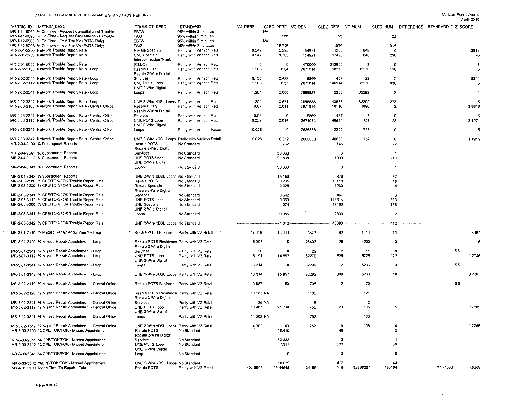$\sim 10^7$ 

 $\bar{\mathcal{A}}$ 

| METRIC ID METRIC_DESC<br>MR-1-11-6060 % On-Time - Request Cancellation of Trouble<br>MR-1-11-6095 % On-Time - Request Cancellation of Trouble | PRODUCT DESC<br>EBTA                                                                | <b>STANDARD</b><br>95% within 2 minutes                                        | VZ PERF              | NA.   |                    | CLEC_PERF VZ_DEN   | CLEC_DEN VZ_NUM |                       |                                | CLEC NUM DIFFERENCE STANDARD I Z SCORE |                 |
|-----------------------------------------------------------------------------------------------------------------------------------------------|-------------------------------------------------------------------------------------|--------------------------------------------------------------------------------|----------------------|-------|--------------------|--------------------|-----------------|-----------------------|--------------------------------|----------------------------------------|-----------------|
| MR-1-12-6060 % On-Time - Test Trouble (POTS Only)<br>MR-1-12-6095 % On-Time - Test Trouble (POTS Only)                                        | TAXI<br>EBTA<br>TAXI                                                                | 95% within 2 minutes<br>95% within 2 minutes<br>95% within 2 minutes           |                      | NA.   | 100<br>96.715      |                    | 23<br>1979      |                       | 23<br>1914                     |                                        |                 |
| MR-2-01-2200 Network Trouble Report Rate<br>MR-2-01-3200 Network Trouble Report Rate                                                          | Resale Specials<br>UNE Specials<br><b>Interconnection Trunks</b>                    | Parity with Verizon Retail<br>Parity with Verizon Retail                       | 0.547<br>0.547       |       | 0.325<br>1,703     | 154921<br>154921   | 1230<br>17493   | 848<br>848            | $\boldsymbol{A}$<br>298        |                                        | 1.3012<br>-5    |
| MR-2-01-5000 Network Trouble Report Rate<br>MR-2-02-2100 Network Trouble Report Rate - Loop                                                   | (CLEC)<br>Resale POTS<br>Resale 2-Wire Digital                                      | Parity with Verizon Retail<br>Parity with Verizon Retail                       | $\mathbf 0$<br>1.208 |       | 0<br>0.64          | 479090<br>2671014  | 313666<br>18110 | -3<br>32270           | $\mathbf 0$<br>116             |                                        | 5<br>5          |
| MR-2-02-2341 Network Trouble Report Rate - Loop<br>MR-2-02-3112 Network Trouble Report Rate - Loop                                            | Services<br>UNE POTS Loop                                                           | Parity with Verizon Retail<br>Parity with Verizon Retail                       | 0.138<br>1.208       |       | 0.428<br>0.57      | 15869<br>2671014   | 467<br>146514   | 22<br>32270           | $\overline{2}$<br>836          |                                        | $-1.0395$<br>-5 |
| MR-2-02-3341 Network Trouble Report Rate - Loop                                                                                               | UNE 2-Wire Digital<br>Loops                                                         | Parity with Verizon Retail                                                     | 1.201                |       | 0.086              | 2686883            | 2300            | 32292                 | $\overline{c}$                 |                                        | -5              |
| MR-2-02-3342 Network Trouble Report Rate - Loop<br>MR-2-03-2100 Network Trouble Report Rate - Central Office                                  | Resale POTS<br>Resale 2-Wire Digital                                                | UNE 2-Wire xDSL Loops Parity with Verizon Retail<br>Parity with Verizon Retail | 1.201<br>0.07        |       | 0.671<br>0.011     | 2686883<br>2671014 | 40683<br>18110  | 32292<br>1896         | 273<br>$\mathbf{z}$            |                                        | 5<br>3.9619     |
| MR-2-03-2341 Network Trouble Report Rate - Central Office<br>MR-2-03-3112 Network Trouble Report Rate - Central Office                        | Services<br>UNE POTS Loop<br>UNE 2-Wire Digital                                     | Parity with Verizon Retail<br>Panty with Verizon Retail                        | 0.05<br>0.028        |       | 0<br>0.015         | 15869<br>2671014   | 467<br>146514   | -8<br>755             | $\Omega$<br>23                 |                                        | -5<br>3.1271    |
| MR-2-03-3341 Network Trouble Report Rate - Central Office                                                                                     | Loops                                                                               | Parity with Verizon Retail                                                     | 0.028                |       | 0                  | 2686883            | 2300            | 757                   | -0                             |                                        | -5              |
| MR-2-03-3342 Network Trouble Report Rate - Central Office<br>MR-2-04-2100 % Subsequent Reports                                                | Resale POTS<br>Resale 2-Wire Digital                                                | UNE 2-Wire xDSL Loops Parity with Verizon Retail<br>No Standard                | 0.028                |       | 0.019<br>18.62     | 2686883            | 40683<br>145    | 757                   | 8<br>27                        |                                        | 1.1914          |
| MR-2-04-2341 % Subsequent Reports<br>MR-2-04-3112 % Subsequent Reports                                                                        | Services<br>UNE POTS Loop                                                           | No Standard<br>No Standard                                                     |                      |       | 33.333<br>21.838   |                    | 3<br>1099       |                       | $\overline{\mathbf{1}}$<br>240 |                                        |                 |
| MR-2-04-3341 % Subsequent Reports                                                                                                             | <b>UNE 2-Wire Digital</b><br>Loops                                                  | No Standard                                                                    |                      |       | 33.333             |                    | 3               |                       | $\overline{\mathbf{1}}$        |                                        |                 |
| MR-2-04-3342 % Subsequent Reports                                                                                                             | UNE 2-Wire xDSL Loops No Standard                                                   |                                                                                |                      |       | 15.159             |                    | 376             |                       | 57                             |                                        |                 |
| MR-2-05-2100 % CPE/TOK/FOK Trouble Report Rate<br>MR-2-05-2200 % CPE/TOK/FOK Trouble Report Rate                                              | Resale POTS<br>Resale Specials<br>Resale 2-Wire Digital                             | No Standard<br>No Standard                                                     |                      |       | 0.265<br>0.325     |                    | 18110<br>1230   |                       | 48<br>-4                       |                                        |                 |
| MR-2-05-2341 % CPE/TOK/FOK Trouble Report Rate                                                                                                | Services                                                                            | No Standard                                                                    |                      |       | 0.642              |                    | 467             |                       | -3                             |                                        |                 |
| MR-2-05-3112 % CPE/TOK/FOK Trouble Report Rate<br>MR-2-05-3200 % CPE/TOK/FOK Trouble Report Rate                                              | UNE POTS Loop<br><b>UNE Specials</b><br>UNE 2-Wire Digital                          | No Standard<br>No Standard                                                     |                      |       | 0.363<br>1,074     |                    | 146514<br>17493 |                       | 533<br>188                     |                                        |                 |
| MR-2-05-3341 % CPE/TOK/FOK Trouble Report Rate                                                                                                | Loops                                                                               | No Standard                                                                    |                      |       | 0.086              |                    | 2300            |                       | $\mathbf{2}$                   |                                        |                 |
| MR-2-05-3342 % CPE/TOK/FOK Trouble Report Rate                                                                                                | UNE 2-Wire xDSL Loops No Standard                                                   |                                                                                |                      |       | $-1.012$           |                    | 40683           |                       | 412                            |                                        |                 |
| MR-3-01-2110 % Missed Repair Appointment - Loop                                                                                               | Resale POTS Business Parity with VZ Retail                                          |                                                                                | 17.319               |       | 14,444             | 5849               | 90              | 1013                  | 13                             |                                        | 0.8487          |
| MR-3-01-2120 % Missed Repair Appointment - Loop -                                                                                             | Resale POTS Residence Parity with VZ Retail<br>Resale 2-Wire Digital                |                                                                                | 15 907               |       | 0                  | 26403              | 26              | 4200                  | -0                             |                                        | 5               |
| MR-3-01-2341 % Missed Repair Appointment - Loop<br>MR-3-01-3112 % Missed Repair Appointment - Loop                                            | Services<br>UNE POTS Loop<br>UNE 2-Wire Digital                                     | Parity with VZ Retail<br>Parity with VZ Retail                                 | 50<br>16.191         |       | 0<br>14.593        | 22<br>32270        | 2<br>836        | 11<br>5225            | 0<br>122                       | SS                                     | 1.2946          |
| MR-3-01-3341 % Missed Repair Appointment - Loop                                                                                               | Loops                                                                               | Parity with VZ Retail                                                          | 16.214               |       | 0                  | 32292              | $\overline{c}$  | 5236                  | -0                             | SS                                     |                 |
| MR-3-01-3342 % Missed Repair Appointment - Loop                                                                                               | UNE 2-Wire xDSL Loops Parity with VZ Retail                                         |                                                                                | 16.214               |       | 15.857             | 32292              | 309             | 5236                  | 49                             |                                        | 0.2307          |
| MR-3-02-2110 % Missed Repair Appointment - Central Office                                                                                     | Resale POTS Business Parity with VZ Retail                                          |                                                                                | 9.887                |       | 50                 | 708                | $\overline{c}$  | 70                    | 1                              | SS                                     |                 |
| MR-3-02-2120 % Missed Repair Appointment - Central Office                                                                                     | Resale POTS Residence Parity with VZ Retail<br>Resale 2-Wire Digital                |                                                                                | 10.185 NA            |       |                    | 1188               |                 | 121                   |                                |                                        |                 |
| MR-3-02-2341 % Missed Repair Appointment - Central Office<br>MR-3-02-3112 % Missed Repair Appointment - Central Office                        | Services<br>UNE POTS Loop<br>UNE 2-Wire Digital                                     | Parity with VZ Retail<br>Parity with VZ Retail                                 | 13.907               | 25 NA | 21.739             | -8<br>755          | 23              | $\overline{2}$<br>105 | 5                              |                                        | $-0.7889$       |
| MR-3-02-3341 % Missed Repair Appointment - Central Office                                                                                     | Loops                                                                               | Parity with VZ Retail                                                          | 14.002 NA            |       |                    | 757                |                 | 105                   |                                |                                        |                 |
| MR-3-02-3342 % Missed Repair Appointment - Central Office<br>MR-3-03-2100 % CPE/TOK/FOK - Missed Appointment                                  | UNE 2-Wire xDSL Loops Parity with VZ Retail<br>Resale POTS<br>Resale 2-Wire Digital | No Standard                                                                    | 14.002               |       | 40<br>10.416       | 757                | 10<br>48        | 106                   | 4<br>5                         |                                        | $-1.7265$       |
| MR-3-03-2341 % CPE/TOK/FOK - Missed Appointment<br>MR-3-03-3112 % CPE/TOK/FOK - Missed Appointment                                            | Services<br>UNE POTS Loop                                                           | No Standard<br>No Standard                                                     |                      |       | 33.333<br>7.317    |                    | 3<br>533        |                       | 39                             |                                        |                 |
| MR-3-03-3341 % CPE/TOK/FOK - Missed Appointment                                                                                               | UNE 2-Wire Digital<br>Loops                                                         | No Standard                                                                    |                      |       | $\Omega$           |                    | 2               |                       | 0                              |                                        |                 |
| MR-3-03-3342 %CPE/TOK/FOK - Missed Appointment<br>MR-4-01-2100 Mean Time To Repair - Total                                                    | UNE 2-Wire xDSL Loops No Standard<br>Resale POTS                                    | Parity with VZ Retail                                                          | 40.19505             |       | 10.679<br>25.44548 | 34166              | 412<br>118      | 82398257              | 44<br>180154                   | 37,74553                               | 4.8368          |

 $\sim 10$ 

 $\sim$  $\mathcal{L}^{\mathcal{L}}$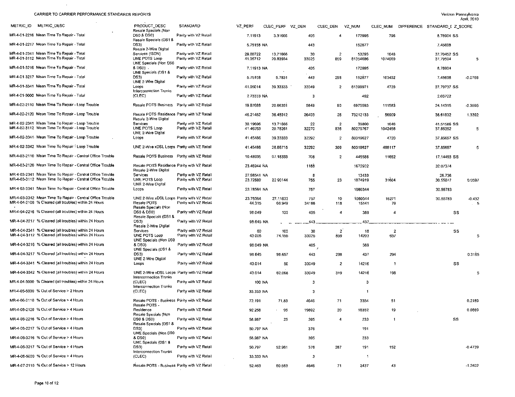$\sim 10^7$ 

| METRIC ID<br><b>METRIC_DESC</b>                                                                                        | PRODUCT_DESC                                                                       | STANDARD                                       | VZ_PERF                 | CLEC PERF VZ DEN     |              | CLEC DEN              | VZ NUM            | CLEC NUM                | DIFFERENCE STANDARD_I Z_SCORE |                |
|------------------------------------------------------------------------------------------------------------------------|------------------------------------------------------------------------------------|------------------------------------------------|-------------------------|----------------------|--------------|-----------------------|-------------------|-------------------------|-------------------------------|----------------|
| MR-4-01-2216 Mean Time To Repair - Total                                                                               | Resale Specials (Non<br>DS0 & DS0)                                                 | Parity with VZ Retail                          | 7.11913                 | 3.31666              | 405          | 4                     | 172995            | 796                     | 8.78904 SS                    |                |
| MR-4-01-2217 Mean Time To Repair - Total                                                                               | Resale Specials (DS1 &<br>DS3)<br>Resale 2-Wire Digital                            | Parity with VZ Retail                          | 5.75158 NA              |                      | 443          |                       | 152877            |                         | 7.45698                       |                |
| MR-4-01-2341 Mean Time To Repair - Total<br>MR-4-01-3112 Mean Time To Repair - Total                                   | Services (ISDN)<br>UNE POTS Loop                                                   | Parity with VZ Retail<br>Parity with VZ Retail | 29.60722<br>41.05712    | 13.71666<br>20.83934 | 30<br>33025  | $\overline{c}$<br>859 | 53293<br>81354686 | 1646<br>1074060         | 37.70452 SS<br>37,79504       | 5              |
| MR-4-01-3216 Mean Time To Repair - Total                                                                               | UNE Specials (Non DS0<br>& DS0).                                                   | Parity with VZ Retail                          | 7.11913 NA              |                      | 405          |                       | 172995            |                         | 8.78904                       |                |
| MR-4-01-3217 Mean Time To Repair - Total                                                                               | UNE Specials (DS1 &<br>DS3)<br>UNE 2-Wire Digital                                  | Parity with VZ Retail                          | 5.75158                 | 5.7831               | 443          | 298                   | 152877            | 103402                  | 7.45698                       | $-0.0766$      |
| MR-4-01-3341 Mean Time To Repair - Total                                                                               | Loops<br>Interconnection Trunks                                                    | Parity with VZ Retail                          | 41.05014                | 39.33333             | 33049        | 2                     | 81399971          | 4720                    | 37.79737 SS                   |                |
| MR-4-01-5000 Mean Time To Repair - Total                                                                               | (CLEC)                                                                             | Parity with VZ Retail                          | 2.73333 NA              |                      | -3           |                       | 492               |                         | 2.03722                       |                |
| MR-4-02-2110 Mean Time To Repair - Loop Trouble                                                                        | Resale POTS Business                                                               | Parity with VZ Retail                          | 1987688                 | 20.66351             | 5849         | 90                    | 6975593           | 111583                  | 24.14315                      | $-0.3595$      |
| MR-4-02-2120 Mean Time To Repair - Loop Trouble                                                                        | Resale POTS Residence Parity with VZ Retail<br>Resale 2-Wire Digital               |                                                | 46.21452                | 36.48012             | 26403        | 26                    | 73212133          | 56909                   | 38.61832                      | 1.3392         |
| MR-4-02-2341 Mean Time To Repair - Loop Trouble<br>MR-4-02-3112 Mean Time To Repair - Loop Trouble                     | Services<br>UNE POTS Loop                                                          | Parity with VZ Retail<br>Parity with VZ Retail | 30.19696<br>41.46253    | 13.71666<br>20.78261 | 22<br>32270  | $\overline{2}$<br>836 | 39860<br>80279767 | 1646<br>1042456         | 41.51586 SS<br>37.85352       | 5              |
| MR-4-02-3341 Mean Time To Repair - Loop Trouble                                                                        | UNE 2-Wire Digital<br>Loops                                                        | Parity with VZ Retail                          | 41.45486                | 39.33333             | 32292        | 2                     | 80319627          | 4720                    | 37.85657 SS                   |                |
| MR-4-02-3342 Mean Time To Repair ' Loop Trouble                                                                        | UNE 2-Wire xDSL Loops Parity with VZ Retail                                        |                                                | 41.45486                | 26.86715             | 32292        | 309                   | 80319627          | 498117                  | 37.85657                      | 5              |
| MR-4-03-2110 Mean Time To Repair - Central Office Trouble                                                              | Resale POTS Business Parity with VZ Retail                                         |                                                | 10.48935                | 97.18333             | 708          | $\overline{c}$        | 445588            | 11662                   | 17.14493 SS                   |                |
| MR-4-03-2120 Mean Time To Repair - Central Office Trouble                                                              | Resale POTS Residence Parity with VZ Retail<br>Resale 2-Wire Digital               |                                                | 23.46944 NA             |                      | 1188         |                       | 1672902           |                         | 32.07374                      |                |
| MR-4-03-2341 Mean Time To Repair - Central Office Trouble<br>MR-4-03-3112 Mean Time To Repair - Central Office Trouble | Services<br>UNE POTS Loop                                                          | Panty with VZ Retail<br>Parity with VZ Retail  | 27.98541 NA<br>23.72889 | 22 90144             | -8<br>755    | 23                    | 13433<br>1074919  | 31604                   | 26.736<br>30.55077            | 0.0597         |
| MR-4-03-3341 Mean Time To Repair - Central Office Trouble                                                              | UNE 2-Wire Digital<br>Loops                                                        | Parity with VZ Retail                          | 23.78564 NA             |                      | 757          |                       | 1080344           |                         | 30.55783                      |                |
| MR-4-03-3342 Mean Time To Repair - Central Office Trouble<br>MR-4-04-2100 % Cleared (all troubles) within 24 Hours     | UNE 2-Wire xDSL Loops Parity with VZ Retail<br>Resale POTS<br>Resale Specials (Non | Parity with VZ Retail                          | 23.78564<br>44.315      | 27.11833<br>66.949   | 757<br>34166 | 10<br>118             | 1080344<br>15141  | 16271<br>79             | 30.55783                      | $-0.432$<br>.5 |
| MR-4-04-2216 % Cleared (all troubles) within 24 Hours                                                                  | DS0 & DS0)<br>Resale Specials (DS1 &                                               | Parity with VZ Retail                          | 96.049                  | 100                  | 405          | $\overline{4}$        | 389               | 4                       | SS                            |                |
| MR-4-04-2217 % Cleared (all troubles) within 24 Hours                                                                  | DS3)<br>Resale 2-Wire Digital                                                      | Panty with VZ Retail                           | 98.645 NA               |                      | 443.         |                       | 437               |                         |                               |                |
| MR-4-04-2341 % Cleared (all troubles) within 24 Hours<br>MR-4-04-3112 % Cleared (all troubles) within 24 Hours         | Services<br>UNE POTS Loop<br>UNE Specials (Non DS0                                 | Parity with VZ Retail<br>Parity with VZ Retail | 60<br>43.006            | 100<br>74.155        | 30<br>33025  | $\overline{2}$<br>859 | 18<br>14203       | 2<br>637                | SS                            | 5              |
| MR-4-04-3216 % Cleared (all troubles) within 24 Hours                                                                  | & DS0)<br>UNE Specials (DS1 &                                                      | Parity with VZ Retail                          | 96.049 NA               |                      | 405          |                       | 389               |                         |                               |                |
| MR-4-04-3217 % Cleared (all troubles) within 24 Hours                                                                  | DS3)<br>UNE 2-Wire Digital                                                         | Parity with VZ Retail                          | 98.645                  | 98.657               | 443          | 298                   | 437               | 294                     |                               | 0.3165         |
| MR-4-04-3341 % Cleared (all troubles) within 24 Hours                                                                  | Loops                                                                              | Parity with VZ Retail                          | 43.014                  | 50                   | 33049        | $\overline{2}$        | 14216             | $\overline{\mathbf{1}}$ | SS                            |                |
| MR-4-04-3342 % Cleared (all troubles) within 24 Hours                                                                  | UNE 2-Wire xDSL Loops Parity with VZ Retail<br>Interconnection Trunks              |                                                | 43.014                  | 62.068               | 33049        | 319                   | 14216             | 198                     |                               | 5              |
| MR-4-04-5000 % Cleared (all troubles) within 24 Hours                                                                  | (CLEC)<br><b>Interconnection Trunks</b>                                            | Parity with VZ Retail                          | 100 NA                  |                      | -3           |                       | -3                |                         |                               |                |
| MR-4-05-5000 % Out of Service > 2 Hours                                                                                | (CLEC)                                                                             | Parity with VZ Retail                          | 33.333 NA               |                      | -3           |                       | -1                |                         |                               |                |
| MR-4-06-2110 % Out of Service > 4 Hours                                                                                | Resale POTS - Business Parity with VZ Retail<br>Resale POTS -                      |                                                | 72.191                  | 71.83                | 4646         | 71                    | 3354              | 51                      |                               | 0.2189         |
| MR-4-06-2120 % Out of Service > 4 Hours                                                                                | Residence<br>Resale Specials (Non-                                                 | Parity with VZ Retail                          | 92.258                  | -95                  | 19892        | 20                    | 18352             | 19                      |                               | 0.0869         |
| MR-4-06-2216 % Out of Service > 4 Hours                                                                                | DS0 & DS0)<br>Resale Specials (DS1 &                                               | Parity with VZ Retail                          | 58.987                  | 25                   | 395          | 4                     | 233               |                         | SS                            |                |
| MR-4-06-2217 % Out of Service > 4 Hours                                                                                | DS3)<br>UNE Specials (Non DS0                                                      | Parity with VZ Retail                          | 50.797 NA               |                      | 376          |                       | 191               |                         |                               |                |
| MR-4-06-3216 % Out of Service > 4 Hours                                                                                | 8 DS0)<br>UNE Specials (DS1 &                                                      | Parity with VZ Retail                          | 58.987 NA               |                      | 395          |                       | 233               |                         |                               |                |
| MR-4-06-3217 % Out of Service > 4 Hours                                                                                | DS3)<br>Interconnection Trunks                                                     | Parity with VZ Retail                          | 50.797                  | 52.961               | 376          | 287                   | 191               | 152                     |                               | $-0.4739$      |
| MR-4-06-5000 % Out of Service > 4 Hours                                                                                | (CLEC)                                                                             | Parity with VZ Retail                          | 33.333 NA               |                      | -3           |                       | $\overline{1}$    |                         |                               |                |
| MR-4-07-2110 % Out of Service > 12 Hours                                                                               | Resale POTS - Business Parity with VZ Retail                                       |                                                | 52.453                  | 60.563               | 4646         | 71                    | 2437              | 43                      |                               | $-1.2402$      |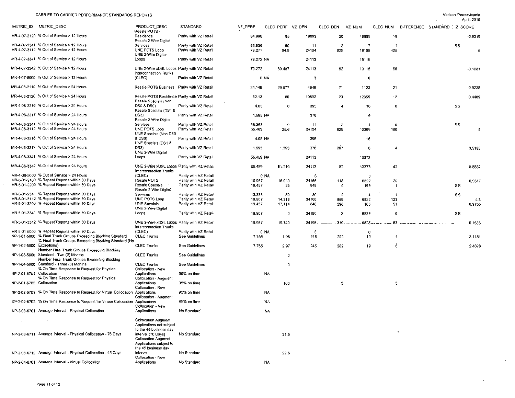$\sim 10^7$ 

 $\sim 1000$  km s  $^{-1}$ 

|                          | METRIC ID METRIC DESC                                                                                                 | PRODUCT DESC                                                                                       | STANDARD              | VZ PERF          | CLEC PERF VZ DEN |         | CLEC DEN              | VZ_NUM           |                |          | CLEC NUM DIFFERENCE STANDARD I Z SCORE |           |  |
|--------------------------|-----------------------------------------------------------------------------------------------------------------------|----------------------------------------------------------------------------------------------------|-----------------------|------------------|------------------|---------|-----------------------|------------------|----------------|----------|----------------------------------------|-----------|--|
|                          | MR-4-07-2120 % Out of Service > 12 Hours                                                                              | Resale POTS<br>Residence                                                                           | Parity with VZ Retail | 84.998           | 95               | 19892   | 20                    | 16908            | 19             |          |                                        | $-0.9319$ |  |
|                          | MR-4-07-2341 % Out of Service > 12 Hours                                                                              | Resale 2-Wire Digital<br>Services                                                                  | Parity with VZ Retail |                  |                  | 11      |                       | -7               |                |          |                                        |           |  |
|                          | MR-4-07-3112 % Out of Service > 12 Hours                                                                              | UNE POTS Loop                                                                                      | Parity with VZ Retail | 63.636<br>79.277 | 50<br>64.8       | 24104   | $\overline{2}$<br>625 | 19109            | 405            |          | SS                                     | 5         |  |
|                          | MR-4-07-3341 % Out of Service > 12 Hours                                                                              | UNE 2-Wire Digital<br>Loops                                                                        | Parity with VZ Retail | 79.272 NA        |                  | 24113   |                       | 19115            |                |          |                                        |           |  |
|                          | MR-4-07-3342 % Out of Service > 12 Hours                                                                              | UNE 2-Wire xDSL Loops Parity with VZ Retail                                                        |                       | 79.272           | 80.487           | 24113   | 82                    | 19115            | 66             |          |                                        | $-0.1081$ |  |
|                          | MR-4-07-5000 % Out of Service > 12 Hours                                                                              | Interconnection Trunks<br>(CLEC)                                                                   | Parity with VZ Retail |                  | 0 NA             | 3       |                       | 0                |                |          |                                        |           |  |
|                          | MR-4-08-2110 % Out of Service > 24 Hours                                                                              | Resale POTS Business Parity with VZ Retail                                                         |                       | 24 149           | 29.577           | 4646    | 71                    | 1122             | 21             |          |                                        | $-0.9238$ |  |
|                          | MR-4-08-2120 % Out of Service > 24 Hours                                                                              | Resale POTS Residence Parity with VZ Retail                                                        |                       | 62.13            | 60               | 19892   | 20                    | 12359            | 12             |          |                                        | 0.4409    |  |
|                          | MR-4-08-2216 % Out of Service > 24 Hours                                                                              | Resale Specials (Non<br><b>DS0 &amp; DS0)</b><br>Resale Specials (DS1 &                            | Parity with V2 Retail | 4.05             | 0                | 395     | $\overline{4}$        | 16               | 0              |          | SS                                     |           |  |
|                          | MR-4-08-2217 % Out of Service > 24 Hours                                                                              | DS3)                                                                                               | Parity with VZ Retail | 1.595 NA         |                  | 376     |                       | 6                |                |          |                                        |           |  |
|                          | MR-4-08-2341 % Out of Service > 24 Hours                                                                              | Resale 2-Wire Digital<br>Services                                                                  | Parity with VZ Retail | 36.363           | $\Omega$         | 11      | $\overline{2}$        | -4               | 0              |          | SS                                     |           |  |
|                          | MR-4-08-3112 % Out of Service > 24 Hours                                                                              | UNE POTS Loop<br>UNE Specials (Non DS0                                                             | Parity with VZ Retail | 55.463           | 25.6             | 24104   | 625                   | 13369            | 160            |          |                                        | 5         |  |
|                          | MR-4-08-3216 % Out of Service > 24 Hours                                                                              | & DS0)<br>UNE Specials (DS1 &                                                                      | Parity with VZ Retail | 4.05 NA          |                  | 395     |                       | 16               |                |          |                                        |           |  |
|                          | MR-4-08-3217 % Out of Service > 24 Hours                                                                              | DS3)<br><b>UNE 2-Wire Digital</b>                                                                  | Parity with VZ Retail | 1.595            | 1.393            | 376     | 287                   | -6               | 4              |          |                                        | 0.5185    |  |
|                          | MR-4-08-3341 % Out of Service > 24 Hours                                                                              | Loops                                                                                              | Parity with VZ Retail | 55.459 NA        |                  | 24113   |                       | 13373            |                |          |                                        |           |  |
|                          | MR-4-08-3342 % Out of Service > 24 Hours                                                                              | UNE 2-Wire xDSL Loops Parity with VZ Retail<br>Interconnection Trunks                              |                       | 55 459           | 51.219           | 24113   | 82                    | 13373            | 42             |          |                                        | 0.8832    |  |
|                          | MR-4-08-5000 % Out of Service > 24 Hours                                                                              | (CLEC)                                                                                             | Parity with VZ Retail |                  | 0 NA             | 3       |                       | -0               |                |          |                                        |           |  |
|                          | MR-5-01-2100 % Repeat Reports within 30 Days                                                                          | Resale POTS                                                                                        | Parity with VZ Retail | 19.967           | 16.949           | 34166   | 118                   | 6822             | 20             |          |                                        | 0.9317    |  |
|                          | MR-5-01-2200 % Repeat Reports within 30 Days                                                                          | Resale Specials<br>Resale 2-Wire Digital                                                           | Parity with VZ Retail | 19 457           | 25               | 848     | -4                    | 165              | -1             |          | SS                                     |           |  |
|                          | MR-5-01-2341 % Repeat Reports within 30 Days                                                                          | Services                                                                                           | Parity with VZ Retail | 13.333           | 50               | 30      | $\overline{2}$        | $\boldsymbol{A}$ | $\overline{1}$ |          | SS                                     |           |  |
|                          | MR-5-01-3112 % Repeat Reports within 30 Days                                                                          | UNE POTS Loop                                                                                      | Parity with VZ Retail | 19.967           | 14.318           | 34166   | 859                   | 6822             | 123            |          |                                        | 4.3       |  |
|                          | MR-5-01-3200 % Repeat Reports within 30 Days                                                                          | <b>UNE Specials</b><br>UNE 2-Wire Digital                                                          | Parity with VZ Retail | 19 457           | 17.114           | 848     | 298                   | 165              | 51             |          |                                        | 0.9755    |  |
|                          | MR-5-01-3341 % Repeat Reports within 30 Days                                                                          | Loops                                                                                              | Parity with VZ Retail | 19.967           | 0                | 34196   | $\overline{2}$        | 6828             | 0              |          | SS                                     |           |  |
|                          | MR-5-01-3342 % Repeat Reports within 30 Days                                                                          | UNE 2-Wire xDSL Loops Parity with VZ Retail<br><b>Interconnection Trunks</b>                       |                       | 19.967           | 19.749           | .34196. | $-319 - -$            | - 6828 -         | $63 -$         |          |                                        | 0.1538    |  |
|                          | MR-5-01-5000 % Repeat Reports within 30 Days                                                                          | (CLEC)                                                                                             | Parity with VZ Retail |                  | 0 NA             | 3       |                       | 0                |                |          |                                        |           |  |
|                          | NP-1-01-5000 % Final Trunk Groups Exceeding Blocking Standard<br>% Final Trunk Groups Exceeding Blocking Standard (No | <b>CLEC Trunks</b>                                                                                 | See Guidelines        | 7.755            | 1.98             | 245     | 202                   | 19               | 4              |          |                                        | 3.1181    |  |
| NP-1-02-5000 Exceptions) | Number Final Trunk Groups Exceeding Blocking                                                                          | <b>CLEC Trunks</b>                                                                                 | See Guidelines        | 7 7 5 5          | 297              | 245     | 202                   | 19               | 6              |          |                                        | 2.4678    |  |
|                          | NP-1-03-5000 Standard - Two (2) Months<br>Number Final Trunk Groups Exceeding Blocking                                | <b>CLEC Trunks</b>                                                                                 | See Guidelines        |                  | O                |         |                       |                  |                |          |                                        |           |  |
|                          | NP-1-04-5000 Standard - Three (3) Months<br>% On Time Response to Request for Physical                                | <b>CLEC Trunks</b><br>Collocation - New                                                            | See Guidelines        |                  | 0                |         |                       |                  |                |          |                                        |           |  |
| NP-2-01-6701 Collocation | % On Time Response to Request for Physical                                                                            | <b>Applications</b><br>Collocation - Augment                                                       | 95% on time           |                  | <b>NA</b>        |         |                       |                  |                |          |                                        |           |  |
| NP-2-01-6702 Collocation |                                                                                                                       | <b>Applications</b><br>Collocation - New                                                           | 95% on time           |                  | 100              |         | -3                    |                  | з              |          |                                        |           |  |
|                          | NP-2-02-6701 % On Time Response to Request for Virtual Collocation Applications                                       | Collocation - Augment                                                                              | 95% on time           |                  | <b>NA</b>        |         |                       |                  |                |          |                                        |           |  |
|                          | NP-2-02-6702 % On Time Response to Request for Virtual Collocation Applications                                       | Collocation - New                                                                                  | 95% on time           |                  | N٨               |         |                       |                  |                |          |                                        |           |  |
|                          | NP-2-03-6701 Average Interval - Physical Collocation                                                                  | Applications                                                                                       | No Standard           |                  | <b>NA</b>        |         |                       |                  |                |          |                                        |           |  |
|                          | <b>Contractor</b>                                                                                                     | <b>Collocation Augment</b><br>Applications not subject<br>to the 45 business day                   |                       |                  |                  |         |                       |                  |                |          |                                        |           |  |
|                          | NP-2-03-6711 Average Interval - Physical Collocation - 76 Days                                                        | interval (76 Days)<br><b>Collocation Augment</b><br>Applications subject to<br>the 45 business day | No Standard           |                  | 31.5             |         |                       |                  |                | $\Delta$ |                                        |           |  |
|                          | NP-2-03-6712 Average Interval - Physical Collocation - 45 Days                                                        | interval<br>Collocation - New                                                                      | No Standard           |                  | 22.6             |         |                       |                  |                |          |                                        |           |  |
|                          | NP-2-04-6701 Average Interval - Virtual Collocation                                                                   | Applications                                                                                       | No Standard           |                  | NA.              |         |                       |                  |                |          |                                        |           |  |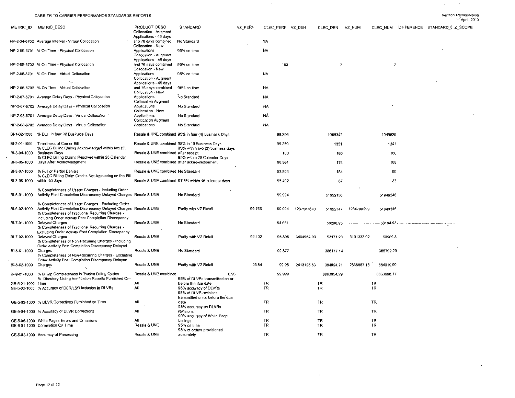$\sim 10^{-1}$ 

 $\mathcal{L}(\mathbf{q})$  and  $\mathcal{L}(\mathbf{q})$ 

|                      | METRIC ID METRIC_DESC                                                                                                          | PRODUCT DESC<br>Collocation - Augment                             | STANDARD                                                                   | VZ PERF | CLEC PERF VZ DEN |        |                 | CLEC DEN             | VZ NUM     | CLEC NUM        | DIFFERENCE STANDARD [ Z SCORE |  |
|----------------------|--------------------------------------------------------------------------------------------------------------------------------|-------------------------------------------------------------------|----------------------------------------------------------------------------|---------|------------------|--------|-----------------|----------------------|------------|-----------------|-------------------------------|--|
|                      | NP-2-04-6702 Average Interval - Virtual Collocation                                                                            | Applications - 45 days<br>and 76 days combined<br>Collocation New | No Standard                                                                |         | NA.              |        |                 |                      |            |                 |                               |  |
|                      | NP-2-05-6701 % On Time - Physical Collocation                                                                                  | Applications<br>Collocation - Augment<br>Applications - 45 days   | 95% on time                                                                |         | <b>NA</b>        |        |                 |                      |            |                 |                               |  |
|                      | NP-2-05-6702 % On Time - Physical Collocation                                                                                  | and 76 days combined<br>Collocation - New                         | 95% on time                                                                |         |                  | 100    |                 | $\overline{7}$       |            | $\overline{7}$  |                               |  |
|                      | NP-2-06-6701 % On Time - Virtual Collocation                                                                                   | Applications<br>Collocation - Augment                             | 95% on time                                                                |         | <b>NA</b>        |        |                 |                      |            |                 |                               |  |
|                      |                                                                                                                                | Applications - 45 days                                            |                                                                            |         |                  |        |                 |                      |            |                 |                               |  |
|                      | NP-2-06-6702 % On Time - Virtual Collocation                                                                                   | and 76 days combined<br>Collocation - New                         | 95% on time                                                                |         | <b>NA</b>        |        |                 |                      |            |                 |                               |  |
|                      | NP-2-07-6701 Average Delay Days - Physical Collocation                                                                         | Applications<br><b>Collocation Augment</b>                        | No Standard                                                                |         | NA               |        |                 |                      |            |                 |                               |  |
|                      | NP-2-07-6702 Average Delay Days - Physical Collocation                                                                         | Applications<br>Collocation - New                                 | No Standard                                                                |         | <b>NA</b>        |        |                 |                      |            |                 |                               |  |
|                      | NP-2-08-6701 Average Delay Days - Virtual Collocation                                                                          | Applications                                                      | No Standard                                                                |         | <b>NA</b>        |        |                 |                      |            |                 |                               |  |
|                      | NP-2-08-6702 Average Delay Days - Virtual Collocation                                                                          | <b>Collocation Augment</b><br>Applications                        | No Standard                                                                |         | <b>NA</b>        |        |                 |                      |            |                 |                               |  |
|                      | BI-1-02-1000 % DUF in four (4) Business Days                                                                                   |                                                                   | Resale & UNE combined 95% in four (4) Business Days                        |         |                  | 98.266 |                 | 1068342              |            | 1049825         |                               |  |
|                      | BI-2-01-1000 Timeliness of Carrier Bill                                                                                        |                                                                   | Resale & UNE combined 98% in 10 Business Days                              |         |                  | 99.259 |                 | 1351                 |            | 1341            |                               |  |
| BI-3-04-1000         | % CLEC Billing Claims Acknowledged within two (2)<br><b>Business Days</b>                                                      | Resale & UNE combined after receipt                               | 95% within two (2) business days                                           |         |                  | 100    |                 | 160                  |            | 160             |                               |  |
|                      | % CLEC Billing Claims Resolved within 28 Calendar<br>BI-3-05-1000 Days After Acknowledgment                                    |                                                                   | 95% within 28 Calendar Days<br>Resale & UNE combined after acknowledgement |         |                  | 96.551 |                 | 174                  |            | 168             |                               |  |
|                      | BI-3-07-1000 % Full or Partial Denials                                                                                         | Resale & UNE combined No Standard                                 |                                                                            |         |                  |        |                 |                      |            |                 |                               |  |
|                      | % CLEC Billing Claim Credits Not Appearing on the Bill                                                                         |                                                                   |                                                                            |         |                  | 53.804 |                 | 184                  |            | 99              |                               |  |
| BI-3-08-1000         | within 45 days                                                                                                                 |                                                                   | Resale & UNE combined 97.5% within 45 calendar days                        |         |                  | 95.402 |                 | 87                   |            | 83              |                               |  |
| BI-6-01-1000         | % Completeness of Usage Charges - Including Order<br>Activity Post Completion Discrepancy Delayed Charges Resale & UNE         |                                                                   | No Standard                                                                |         |                  | 99.994 |                 | 51952150             |            | 51949348        |                               |  |
| BI-6-02-1000         | % Completeness of Usage Charges - Excluding Order<br>Activity Post Completion Discrepancy Delayed Charges Resale & UNE         |                                                                   | Parity with VZ Retail                                                      | 99.766  |                  | 99.994 | 1237587370      | 51952147             | 1234700299 | 51949345        |                               |  |
|                      | % Completeness of Fractional Recurring Charges -<br>Including Order Activity Post Completion Discrepancy                       |                                                                   |                                                                            |         |                  |        |                 |                      |            |                 |                               |  |
| BI-7-01-1000         | Delayed Charges<br>% Completeness of Fractional Recurring Charges -                                                            | Resale & UNE                                                      | No Standard                                                                |         |                  | 94.651 |                 | $56200.95$ - - - - - |            |                 |                               |  |
| BI-7-02-1000         | Excluding Order Activity Post Completion Discrepancy<br>Delayed Charges<br>% Completeness of Non-Recurring Charges - Including | Resale & UNE                                                      | Parity with VZ Retail                                                      | 92.102  |                  | 95.896 | 3464964.03      | 53171.23             | 3191333.92 | 50989.3         |                               |  |
| Bi-8-01-1000 Charges | Order Activity Post Completion Discrepancy Delayed                                                                             | Resale & UNE                                                      | No Standard                                                                |         |                  | 99.877 |                 | 386177.14            |            | 385702.29       |                               |  |
|                      | % Completeness of Non-Recurring Charges - Excluding<br>Order Activity Post Completion Discrepancy Delayed                      |                                                                   |                                                                            |         |                  |        |                 |                      |            |                 |                               |  |
| BI-8-02-1000 Charges |                                                                                                                                | Resale & UNE                                                      | Parity with VZ Retail                                                      | 96.84   |                  | 99.98  | 2413125.83      | 384094.71            | 2336887.13 | 384019.99       |                               |  |
| BI-9-01-1000         | % Billing Completeness in Twelve Billing Cycles<br>% Directory Listing Verification Reports Furnished On-                      | Resale & UNE combined                                             | 0.96<br>95% of DLVRs transmitted on or                                     |         |                  | 99.999 |                 | 8863954.29           |            | 8863898.17      |                               |  |
| GE-5-01-1000 Time    |                                                                                                                                | All                                                               | before the due date                                                        |         | TR               |        | TR.             |                      |            | TR              |                               |  |
|                      | GE-5-02-1000 % Accuracy of DSR/LSR Inclusion in DLVRs                                                                          | All                                                               | 98% accuracy of DLVRs<br>98% of DLVR revisions                             |         | <b>TR</b>        |        | <b>TR</b>       |                      |            | TR.             |                               |  |
|                      | GE-5-03-1000 % DLVR Corrections Furnished on Time                                                                              | ΑN                                                                | transmitted on or before the due<br>date                                   |         | <b>TR</b>        |        | TR              |                      |            | TR              |                               |  |
|                      | GE-5-04-1000 % Accuracy of DLVR Corrections                                                                                    | ٨l                                                                | 98% accuracy on DLVRs<br>revisions                                         |         | TR               |        | <b>TR</b>       |                      |            | TR              |                               |  |
|                      |                                                                                                                                |                                                                   | 99% accuracy of White Page                                                 |         |                  |        |                 |                      |            |                 |                               |  |
|                      | GE-5-05-1000 White Pages Errors and Omissions<br>GE-6-01-1000 Completion On Time                                               | All<br>Resale & UNE                                               | Listings<br>95% on time                                                    |         | TR<br><b>TR</b>  |        | TR<br><b>TR</b> |                      |            | <b>TR</b><br>TR |                               |  |
|                      | GE-6-02-1000 Accuracy of Processing                                                                                            | Resale & UNE                                                      | 98% of orders provisioned<br>accurately                                    |         | <b>TR</b>        |        | TR.             |                      |            | <b>TR</b>       |                               |  |

 $\mathcal{L}^{\text{max}}_{\text{max}}$  and  $\mathcal{L}^{\text{max}}_{\text{max}}$ 

 $\mathcal{L}^{\text{max}}_{\text{max}}$ 

 $\sim$